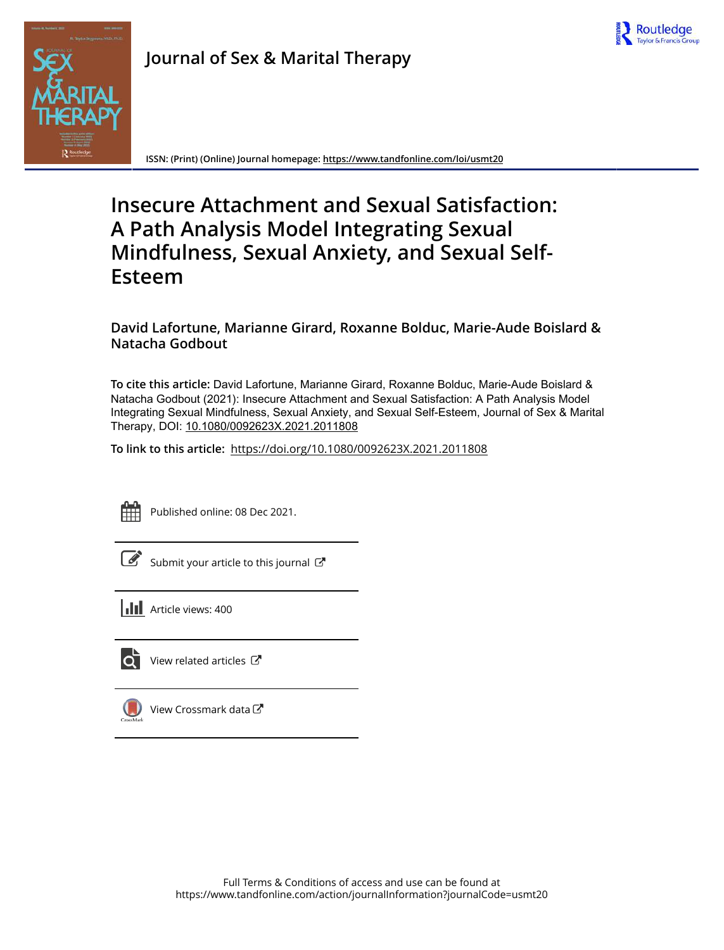

**Journal of Sex & Marital Therapy**

**ISSN: (Print) (Online) Journal homepage:<https://www.tandfonline.com/loi/usmt20>**

# **Insecure Attachment and Sexual Satisfaction: A Path Analysis Model Integrating Sexual Mindfulness, Sexual Anxiety, and Sexual Self-Esteem**

# **David Lafortune, Marianne Girard, Roxanne Bolduc, Marie-Aude Boislard & Natacha Godbout**

**To cite this article:** David Lafortune, Marianne Girard, Roxanne Bolduc, Marie-Aude Boislard & Natacha Godbout (2021): Insecure Attachment and Sexual Satisfaction: A Path Analysis Model Integrating Sexual Mindfulness, Sexual Anxiety, and Sexual Self-Esteem, Journal of Sex & Marital Therapy, DOI: [10.1080/0092623X.2021.2011808](https://www.tandfonline.com/action/showCitFormats?doi=10.1080/0092623X.2021.2011808)

**To link to this article:** <https://doi.org/10.1080/0092623X.2021.2011808>



Published online: 08 Dec 2021.

 $\overrightarrow{S}$  [Submit your article to this journal](https://www.tandfonline.com/action/authorSubmission?journalCode=usmt20&show=instructions)  $\overrightarrow{S}$ 



ЮŤ

[View related articles](https://www.tandfonline.com/doi/mlt/10.1080/0092623X.2021.2011808)  $\mathbb{Z}$ 



[View Crossmark data](http://crossmark.crossref.org/dialog/?doi=10.1080/0092623X.2021.2011808&domain=pdf&date_stamp=2021-12-08)<sup>™</sup>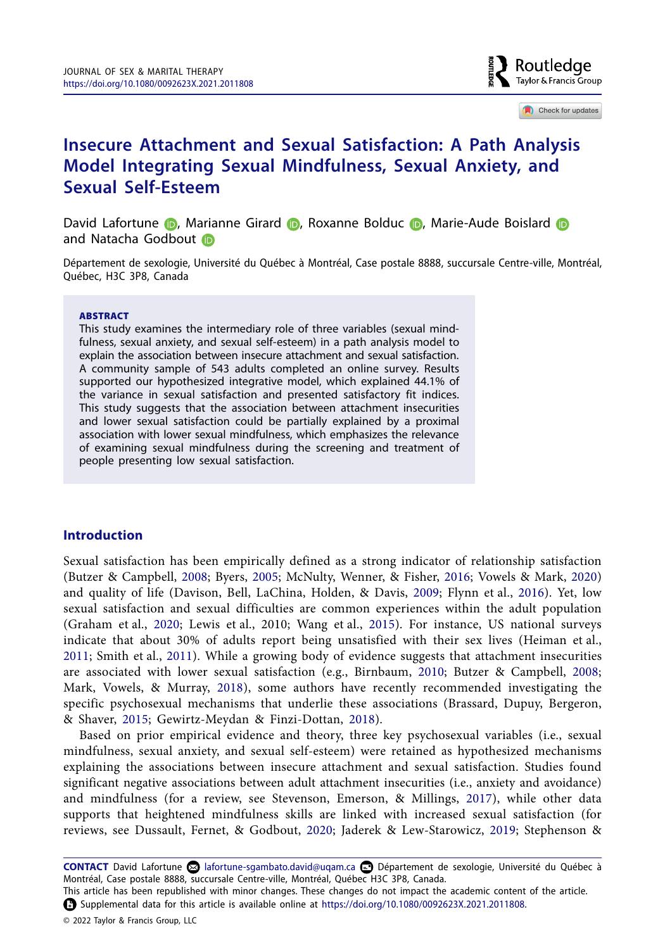

<span id="page-1-15"></span><span id="page-1-6"></span>Check for updates

# **Insecure Attachment and Sexual Satisfaction: A Path Analysis Model Integrating Sexual Mindfulness, Sexual Anxiety, and Sexual Self-Esteem**

DavidLafortune (D, Marianne Girard (D, Roxanne Bolduc (D, Marie-Aude Boislard (D andNatacha Godbout in

Département de sexologie, Université du Québec à Montréal, Case postale 8888, succursale Centre-ville, Montréal, Québec, H3C 3P8, Canada

#### ABSTRACT

This study examines the intermediary role of three variables (sexual mindfulness, sexual anxiety, and sexual self-esteem) in a path analysis model to explain the association between insecure attachment and sexual satisfaction. A community sample of 543 adults completed an online survey. Results supported our hypothesized integrative model, which explained 44.1% of the variance in sexual satisfaction and presented satisfactory fit indices. This study suggests that the association between attachment insecurities and lower sexual satisfaction could be partially explained by a proximal association with lower sexual mindfulness, which emphasizes the relevance of examining sexual mindfulness during the screening and treatment of people presenting low sexual satisfaction.

### **Introduction**

<span id="page-1-16"></span><span id="page-1-12"></span><span id="page-1-8"></span><span id="page-1-4"></span><span id="page-1-3"></span><span id="page-1-2"></span>Sexual satisfaction has been empirically defined as a strong indicator of relationship satisfaction (Butzer & Campbell, [2008](#page-14-0); Byers, [2005;](#page-14-1) McNulty, Wenner, & Fisher, [2016](#page-15-0); Vowels & Mark, [2020\)](#page-17-0) and quality of life (Davison, Bell, LaChina, Holden, & Davis, [2009;](#page-14-2) Flynn et al., [2016\)](#page-14-3). Yet, low sexual satisfaction and sexual difficulties are common experiences within the adult population (Graham et al., [2020](#page-15-1); Lewis et al., 2010; Wang et al., [2015](#page-17-1)). For instance, US national surveys indicate that about 30% of adults report being unsatisfied with their sex lives (Heiman et al., [2011;](#page-15-2) Smith et al., [2011\)](#page-16-0). While a growing body of evidence suggests that attachment insecurities are associated with lower sexual satisfaction (e.g., Birnbaum, [2010;](#page-13-0) Butzer & Campbell, [2008;](#page-14-4) Mark, Vowels, & Murray, [2018](#page-15-3)), some authors have recently recommended investigating the specific psychosexual mechanisms that underlie these associations (Brassard, Dupuy, Bergeron, & Shaver, [2015](#page-14-5); Gewirtz-Meydan & Finzi-Dottan, [2018](#page-14-6)).

<span id="page-1-14"></span><span id="page-1-13"></span><span id="page-1-11"></span><span id="page-1-9"></span><span id="page-1-7"></span><span id="page-1-1"></span><span id="page-1-0"></span>Based on prior empirical evidence and theory, three key psychosexual variables (i.e., sexual mindfulness, sexual anxiety, and sexual self-esteem) were retained as hypothesized mechanisms explaining the associations between insecure attachment and sexual satisfaction. Studies found significant negative associations between adult attachment insecurities (i.e., anxiety and avoidance) and mindfulness (for a review, see Stevenson, Emerson, & Millings, [2017](#page-16-1)), while other data supports that heightened mindfulness skills are linked with increased sexual satisfaction (for reviews, see Dussault, Fernet, & Godbout, [2020](#page-14-7); Jaderek & Lew-Starowicz, [2019;](#page-15-4) Stephenson &

<span id="page-1-10"></span><span id="page-1-5"></span>**CONTACT** David Lafortune [lafortune-sgambato.david@uqam.ca](mailto:lafortune-sgambato.david@uqam.ca) Département de sexologie, Université du Québec à Montréal, Case postale 8888, succursale Centre-ville, Montréal, Québec H3C 3P8, Canada.

This article has been republished with minor changes. These changes do not impact the academic content of the article. Supplemental data for this article is available online at <https://doi.org/10.1080/0092623X.2021.2011808>.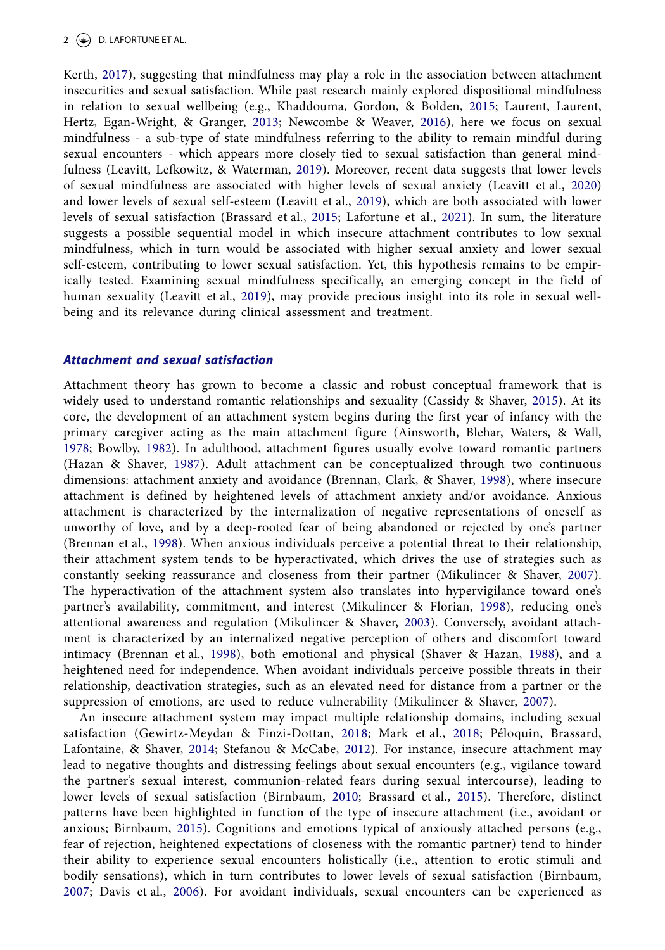# 2  $\leftrightarrow$  D. LAFORTUNE ET AL.

<span id="page-2-20"></span><span id="page-2-16"></span><span id="page-2-12"></span><span id="page-2-11"></span><span id="page-2-10"></span><span id="page-2-9"></span><span id="page-2-8"></span>Kerth, [2017](#page-16-2)), suggesting that mindfulness may play a role in the association between attachment insecurities and sexual satisfaction. While past research mainly explored dispositional mindfulness in relation to sexual wellbeing (e.g., Khaddouma, Gordon, & Bolden, [2015](#page-15-5); Laurent, Laurent, Hertz, Egan-Wright, & Granger, [2013](#page-15-6); Newcombe & Weaver, [2016](#page-16-3)), here we focus on sexual mindfulness - a sub-type of state mindfulness referring to the ability to remain mindful during sexual encounters - which appears more closely tied to sexual satisfaction than general mindfulness (Leavitt, Lefkowitz, & Waterman, [2019](#page-15-7)). Moreover, recent data suggests that lower levels of sexual mindfulness are associated with higher levels of sexual anxiety (Leavitt et al., [2020\)](#page-15-8) and lower levels of sexual self-esteem (Leavitt et al., [2019\)](#page-15-7), which are both associated with lower levels of sexual satisfaction (Brassard et al., [2015;](#page-14-5) Lafortune et al., [2021](#page-15-9)). In sum, the literature suggests a possible sequential model in which insecure attachment contributes to low sexual mindfulness, which in turn would be associated with higher sexual anxiety and lower sexual self-esteem, contributing to lower sexual satisfaction. Yet, this hypothesis remains to be empirically tested. Examining sexual mindfulness specifically, an emerging concept in the field of human sexuality (Leavitt et al., [2019](#page-15-7)), may provide precious insight into its role in sexual wellbeing and its relevance during clinical assessment and treatment.

### *Attachment and sexual satisfaction*

<span id="page-2-7"></span><span id="page-2-5"></span><span id="page-2-4"></span><span id="page-2-3"></span><span id="page-2-0"></span>Attachment theory has grown to become a classic and robust conceptual framework that is widely used to understand romantic relationships and sexuality (Cassidy & Shaver, [2015](#page-14-8)). At its core, the development of an attachment system begins during the first year of infancy with the primary caregiver acting as the main attachment figure (Ainsworth, Blehar, Waters, & Wall, [1978;](#page-13-1) Bowlby, [1982](#page-13-2)). In adulthood, attachment figures usually evolve toward romantic partners (Hazan & Shaver, [1987\)](#page-15-10). Adult attachment can be conceptualized through two continuous dimensions: attachment anxiety and avoidance (Brennan, Clark, & Shaver, [1998\)](#page-14-9), where insecure attachment is defined by heightened levels of attachment anxiety and/or avoidance. Anxious attachment is characterized by the internalization of negative representations of oneself as unworthy of love, and by a deep-rooted fear of being abandoned or rejected by one's partner (Brennan et al., [1998\)](#page-14-9). When anxious individuals perceive a potential threat to their relationship, their attachment system tends to be hyperactivated, which drives the use of strategies such as constantly seeking reassurance and closeness from their partner (Mikulincer & Shaver, [2007](#page-16-4)). The hyperactivation of the attachment system also translates into hypervigilance toward one's partner's availability, commitment, and interest (Mikulincer & Florian, [1998\)](#page-15-11), reducing one's attentional awareness and regulation (Mikulincer & Shaver, [2003](#page-16-5)). Conversely, avoidant attachment is characterized by an internalized negative perception of others and discomfort toward intimacy (Brennan et al., [1998](#page-14-9)), both emotional and physical (Shaver & Hazan, [1988](#page-16-6)), and a heightened need for independence. When avoidant individuals perceive possible threats in their relationship, deactivation strategies, such as an elevated need for distance from a partner or the suppression of emotions, are used to reduce vulnerability (Mikulincer & Shaver, [2007](#page-16-4)).

<span id="page-2-19"></span><span id="page-2-18"></span><span id="page-2-17"></span><span id="page-2-15"></span><span id="page-2-14"></span><span id="page-2-13"></span><span id="page-2-6"></span><span id="page-2-2"></span><span id="page-2-1"></span>An insecure attachment system may impact multiple relationship domains, including sexual satisfaction (Gewirtz-Meydan & Finzi-Dottan, [2018;](#page-14-10) Mark et al., [2018;](#page-15-12) Péloquin, Brassard, Lafontaine, & Shaver, [2014;](#page-16-7) Stefanou & McCabe, [2012\)](#page-16-8). For instance, insecure attachment may lead to negative thoughts and distressing feelings about sexual encounters (e.g., vigilance toward the partner's sexual interest, communion-related fears during sexual intercourse), leading to lower levels of sexual satisfaction (Birnbaum, [2010;](#page-13-3) Brassard et al., [2015](#page-14-5)). Therefore, distinct patterns have been highlighted in function of the type of insecure attachment (i.e., avoidant or anxious; Birnbaum, [2015\)](#page-13-4). Cognitions and emotions typical of anxiously attached persons (e.g., fear of rejection, heightened expectations of closeness with the romantic partner) tend to hinder their ability to experience sexual encounters holistically (i.e., attention to erotic stimuli and bodily sensations), which in turn contributes to lower levels of sexual satisfaction (Birnbaum, [2007;](#page-13-5) Davis et al., [2006](#page-14-11)). For avoidant individuals, sexual encounters can be experienced as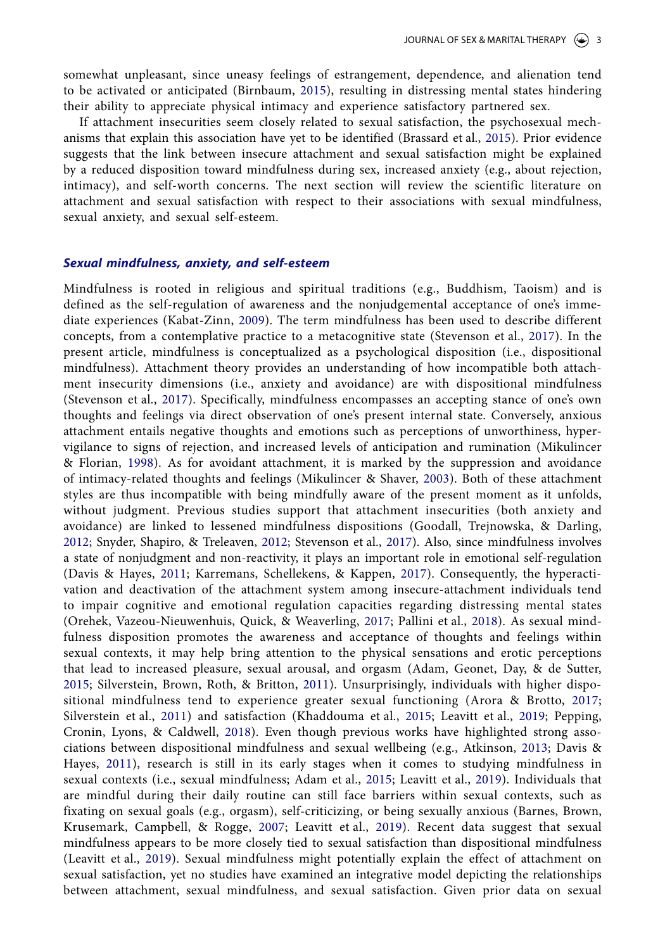somewhat unpleasant, since uneasy feelings of estrangement, dependence, and alienation tend to be activated or anticipated (Birnbaum, [2015](#page-13-6)), resulting in distressing mental states hindering their ability to appreciate physical intimacy and experience satisfactory partnered sex.

If attachment insecurities seem closely related to sexual satisfaction, the psychosexual mechanisms that explain this association have yet to be identified (Brassard et al., [2015](#page-14-5)). Prior evidence suggests that the link between insecure attachment and sexual satisfaction might be explained by a reduced disposition toward mindfulness during sex, increased anxiety (e.g., about rejection, intimacy), and self-worth concerns. The next section will review the scientific literature on attachment and sexual satisfaction with respect to their associations with sexual mindfulness, sexual anxiety, and sexual self-esteem.

# *Sexual mindfulness, anxiety, and self-esteem*

<span id="page-3-12"></span><span id="page-3-11"></span><span id="page-3-10"></span><span id="page-3-9"></span><span id="page-3-8"></span><span id="page-3-7"></span><span id="page-3-6"></span><span id="page-3-5"></span><span id="page-3-4"></span><span id="page-3-3"></span><span id="page-3-2"></span><span id="page-3-1"></span><span id="page-3-0"></span>Mindfulness is rooted in religious and spiritual traditions (e.g., Buddhism, Taoism) and is defined as the self-regulation of awareness and the nonjudgemental acceptance of one's immediate experiences (Kabat-Zinn, [2009\)](#page-15-13). The term mindfulness has been used to describe different concepts, from a contemplative practice to a metacognitive state (Stevenson et al., [2017\)](#page-16-1). In the present article, mindfulness is conceptualized as a psychological disposition (i.e., dispositional mindfulness). Attachment theory provides an understanding of how incompatible both attachment insecurity dimensions (i.e., anxiety and avoidance) are with dispositional mindfulness (Stevenson et al., [2017](#page-16-1)). Specifically, mindfulness encompasses an accepting stance of one's own thoughts and feelings via direct observation of one's present internal state. Conversely, anxious attachment entails negative thoughts and emotions such as perceptions of unworthiness, hypervigilance to signs of rejection, and increased levels of anticipation and rumination (Mikulincer & Florian, [1998\)](#page-15-14). As for avoidant attachment, it is marked by the suppression and avoidance of intimacy-related thoughts and feelings (Mikulincer & Shaver, [2003\)](#page-16-5). Both of these attachment styles are thus incompatible with being mindfully aware of the present moment as it unfolds, without judgment. Previous studies support that attachment insecurities (both anxiety and avoidance) are linked to lessened mindfulness dispositions (Goodall, Trejnowska, & Darling, [2012](#page-14-12); Snyder, Shapiro, & Treleaven, [2012;](#page-16-9) Stevenson et al., [2017](#page-16-1)). Also, since mindfulness involves a state of nonjudgment and non-reactivity, it plays an important role in emotional self-regulation (Davis & Hayes, [2011](#page-14-13); Karremans, Schellekens, & Kappen, [2017\)](#page-15-15). Consequently, the hyperactivation and deactivation of the attachment system among insecure-attachment individuals tend to impair cognitive and emotional regulation capacities regarding distressing mental states (Orehek, Vazeou-Nieuwenhuis, Quick, & Weaverling, [2017;](#page-16-10) Pallini et al., [2018](#page-16-11)). As sexual mindfulness disposition promotes the awareness and acceptance of thoughts and feelings within sexual contexts, it may help bring attention to the physical sensations and erotic perceptions that lead to increased pleasure, sexual arousal, and orgasm (Adam, Geonet, Day, & de Sutter, [2015;](#page-13-7) Silverstein, Brown, Roth, & Britton, [2011\)](#page-16-12). Unsurprisingly, individuals with higher dispositional mindfulness tend to experience greater sexual functioning (Arora & Brotto, [2017;](#page-13-8) Silverstein et al., [2011\)](#page-16-13) and satisfaction (Khaddouma et al., [2015](#page-15-16); Leavitt et al., [2019](#page-15-7); Pepping, Cronin, Lyons, & Caldwell, [2018](#page-16-14)). Even though previous works have highlighted strong associations between dispositional mindfulness and sexual wellbeing (e.g., Atkinson, [2013](#page-13-9); Davis & Hayes, [2011](#page-14-14)), research is still in its early stages when it comes to studying mindfulness in sexual contexts (i.e., sexual mindfulness; Adam et al., [2015](#page-13-7); Leavitt et al., [2019](#page-15-7)). Individuals that are mindful during their daily routine can still face barriers within sexual contexts, such as fixating on sexual goals (e.g., orgasm), self-criticizing, or being sexually anxious (Barnes, Brown, Krusemark, Campbell, & Rogge, [2007;](#page-13-10) Leavitt et al., [2019\)](#page-15-7). Recent data suggest that sexual mindfulness appears to be more closely tied to sexual satisfaction than dispositional mindfulness (Leavitt et al., [2019](#page-15-7)). Sexual mindfulness might potentially explain the effect of attachment on sexual satisfaction, yet no studies have examined an integrative model depicting the relationships between attachment, sexual mindfulness, and sexual satisfaction. Given prior data on sexual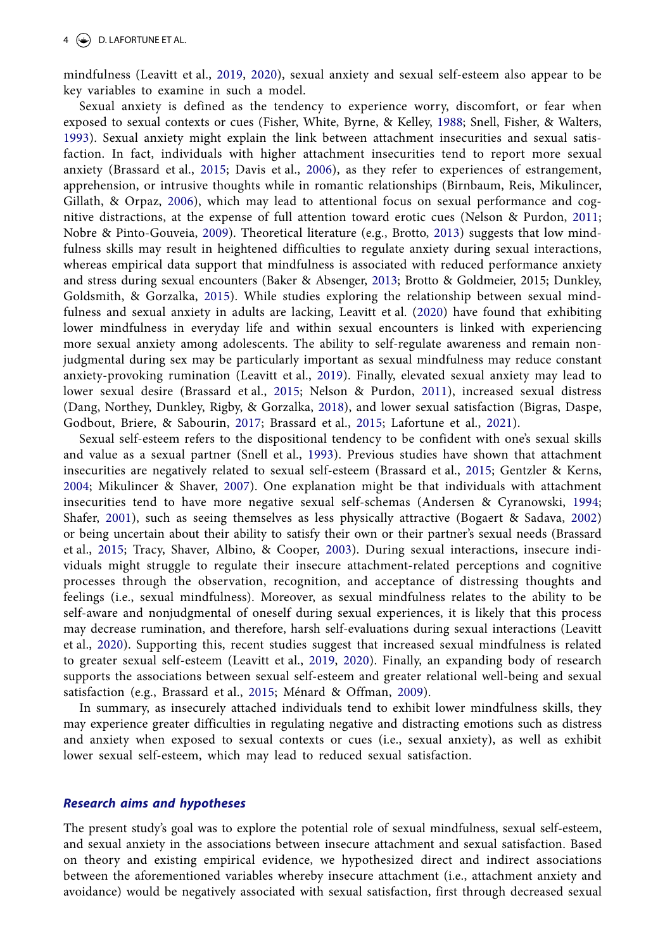mindfulness (Leavitt et al., [2019](#page-15-7), [2020](#page-15-8)), sexual anxiety and sexual self-esteem also appear to be key variables to examine in such a model.

<span id="page-4-14"></span><span id="page-4-12"></span><span id="page-4-11"></span><span id="page-4-8"></span><span id="page-4-5"></span><span id="page-4-3"></span>Sexual anxiety is defined as the tendency to experience worry, discomfort, or fear when exposed to sexual contexts or cues (Fisher, White, Byrne, & Kelley, [1988;](#page-14-15) Snell, Fisher, & Walters, [1993\)](#page-16-15). Sexual anxiety might explain the link between attachment insecurities and sexual satisfaction. In fact, individuals with higher attachment insecurities tend to report more sexual anxiety (Brassard et al., [2015](#page-14-5); Davis et al., [2006\)](#page-14-11), as they refer to experiences of estrangement, apprehension, or intrusive thoughts while in romantic relationships (Birnbaum, Reis, Mikulincer, Gillath, & Orpaz, [2006\)](#page-13-11), which may lead to attentional focus on sexual performance and cognitive distractions, at the expense of full attention toward erotic cues (Nelson & Purdon, [2011;](#page-16-16) Nobre & Pinto-Gouveia, [2009](#page-16-17)). Theoretical literature (e.g., Brotto, [2013](#page-14-16)) suggests that low mindfulness skills may result in heightened difficulties to regulate anxiety during sexual interactions, whereas empirical data support that mindfulness is associated with reduced performance anxiety and stress during sexual encounters (Baker & Absenger, [2013](#page-13-12); Brotto & Goldmeier, 2015; Dunkley, Goldsmith, & Gorzalka, [2015](#page-14-17)). While studies exploring the relationship between sexual mindfulness and sexual anxiety in adults are lacking, Leavitt et al. [\(2020\)](#page-15-8) have found that exhibiting lower mindfulness in everyday life and within sexual encounters is linked with experiencing more sexual anxiety among adolescents. The ability to self-regulate awareness and remain nonjudgmental during sex may be particularly important as sexual mindfulness may reduce constant anxiety-provoking rumination (Leavitt et al., [2019\)](#page-15-7). Finally, elevated sexual anxiety may lead to lower sexual desire (Brassard et al., [2015](#page-14-5); Nelson & Purdon, [2011](#page-16-18)), increased sexual distress (Dang, Northey, Dunkley, Rigby, & Gorzalka, [2018\)](#page-14-18), and lower sexual satisfaction (Bigras, Daspe, Godbout, Briere, & Sabourin, [2017;](#page-13-13) Brassard et al., [2015;](#page-14-5) Lafortune et al., [2021\)](#page-15-17).

<span id="page-4-15"></span><span id="page-4-13"></span><span id="page-4-9"></span><span id="page-4-7"></span><span id="page-4-6"></span><span id="page-4-4"></span><span id="page-4-2"></span><span id="page-4-1"></span><span id="page-4-0"></span>Sexual self-esteem refers to the dispositional tendency to be confident with one's sexual skills and value as a sexual partner (Snell et al., [1993\)](#page-16-15). Previous studies have shown that attachment insecurities are negatively related to sexual self-esteem (Brassard et al., [2015;](#page-14-5) Gentzler & Kerns, [2004;](#page-14-19) Mikulincer & Shaver, [2007](#page-16-19)). One explanation might be that individuals with attachment insecurities tend to have more negative sexual self-schemas (Andersen & Cyranowski, [1994;](#page-13-14) Shafer, [2001\)](#page-16-20), such as seeing themselves as less physically attractive (Bogaert & Sadava, [2002\)](#page-13-15) or being uncertain about their ability to satisfy their own or their partner's sexual needs (Brassard et al., [2015;](#page-14-5) Tracy, Shaver, Albino, & Cooper, [2003\)](#page-17-2). During sexual interactions, insecure individuals might struggle to regulate their insecure attachment-related perceptions and cognitive processes through the observation, recognition, and acceptance of distressing thoughts and feelings (i.e., sexual mindfulness). Moreover, as sexual mindfulness relates to the ability to be self-aware and nonjudgmental of oneself during sexual experiences, it is likely that this process may decrease rumination, and therefore, harsh self-evaluations during sexual interactions (Leavitt et al., [2020](#page-15-8)). Supporting this, recent studies suggest that increased sexual mindfulness is related to greater sexual self-esteem (Leavitt et al., [2019,](#page-15-7) [2020\)](#page-15-8). Finally, an expanding body of research supports the associations between sexual self-esteem and greater relational well-being and sexual satisfaction (e.g., Brassard et al., [2015](#page-14-5); Ménard & Offman, [2009\)](#page-15-18).

<span id="page-4-10"></span>In summary, as insecurely attached individuals tend to exhibit lower mindfulness skills, they may experience greater difficulties in regulating negative and distracting emotions such as distress and anxiety when exposed to sexual contexts or cues (i.e., sexual anxiety), as well as exhibit lower sexual self-esteem, which may lead to reduced sexual satisfaction.

# *Research aims and hypotheses*

The present study's goal was to explore the potential role of sexual mindfulness, sexual self-esteem, and sexual anxiety in the associations between insecure attachment and sexual satisfaction. Based on theory and existing empirical evidence, we hypothesized direct and indirect associations between the aforementioned variables whereby insecure attachment (i.e., attachment anxiety and avoidance) would be negatively associated with sexual satisfaction, first through decreased sexual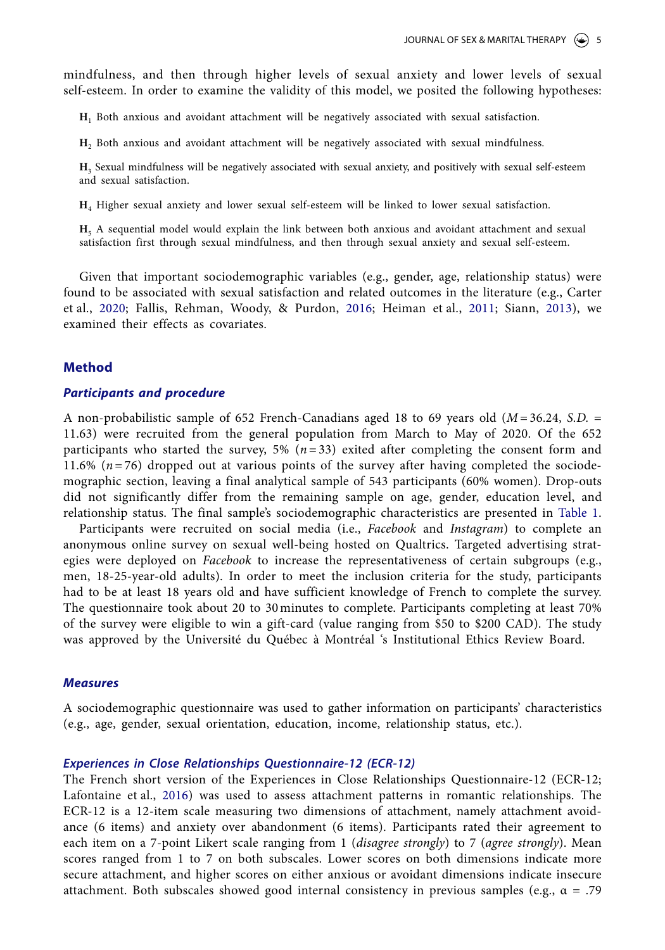mindfulness, and then through higher levels of sexual anxiety and lower levels of sexual self-esteem. In order to examine the validity of this model, we posited the following hypotheses:

**H**1 Both anxious and avoidant attachment will be negatively associated with sexual satisfaction.

**H**2 Both anxious and avoidant attachment will be negatively associated with sexual mindfulness.

**H**3 Sexual mindfulness will be negatively associated with sexual anxiety, and positively with sexual self-esteem and sexual satisfaction.

**H**4 Higher sexual anxiety and lower sexual self-esteem will be linked to lower sexual satisfaction.

<span id="page-5-3"></span>**H**5 A sequential model would explain the link between both anxious and avoidant attachment and sexual satisfaction first through sexual mindfulness, and then through sexual anxiety and sexual self-esteem.

<span id="page-5-1"></span><span id="page-5-0"></span>Given that important sociodemographic variables (e.g., gender, age, relationship status) were found to be associated with sexual satisfaction and related outcomes in the literature (e.g., Carter et al., [2020](#page-14-20); Fallis, Rehman, Woody, & Purdon, [2016](#page-14-21); Heiman et al., [2011](#page-15-19); Siann, [2013\)](#page-16-21), we examined their effects as covariates.

#### **Method**

#### *Participants and procedure*

A non-probabilistic sample of 652 French-Canadians aged 18 to 69 years old (*M* = 36.24, *S.D.* = 11.63) were recruited from the general population from March to May of 2020. Of the 652 participants who started the survey, 5%  $(n=33)$  exited after completing the consent form and 11.6% ( $n = 76$ ) dropped out at various points of the survey after having completed the sociodemographic section, leaving a final analytical sample of 543 participants (60% women). Drop-outs did not significantly differ from the remaining sample on age, gender, education level, and relationship status. The final sample's sociodemographic characteristics are presented in [Table 1.](#page-6-0)

Participants were recruited on social media (i.e., *Facebook* and *Instagram*) to complete an anonymous online survey on sexual well-being hosted on Qualtrics. Targeted advertising strategies were deployed on *Facebook* to increase the representativeness of certain subgroups (e.g., men, 18-25-year-old adults). In order to meet the inclusion criteria for the study, participants had to be at least 18 years old and have sufficient knowledge of French to complete the survey. The questionnaire took about 20 to 30 minutes to complete. Participants completing at least 70% of the survey were eligible to win a gift-card (value ranging from \$50 to \$200 CAD). The study was approved by the Université du Québec à Montréal 's Institutional Ethics Review Board.

#### *Measures*

A sociodemographic questionnaire was used to gather information on participants' characteristics (e.g., age, gender, sexual orientation, education, income, relationship status, etc.).

#### *Experiences in Close Relationships Questionnaire-12 (ECR-12)*

<span id="page-5-2"></span>The French short version of the Experiences in Close Relationships Questionnaire-12 (ECR-12; Lafontaine et al., [2016\)](#page-15-20) was used to assess attachment patterns in romantic relationships. The ECR-12 is a 12-item scale measuring two dimensions of attachment, namely attachment avoidance (6 items) and anxiety over abandonment (6 items). Participants rated their agreement to each item on a 7-point Likert scale ranging from 1 (*disagree strongly*) to 7 (*agree strongly*). Mean scores ranged from 1 to 7 on both subscales. Lower scores on both dimensions indicate more secure attachment, and higher scores on either anxious or avoidant dimensions indicate insecure attachment. Both subscales showed good internal consistency in previous samples (e.g.,  $\alpha = .79$ )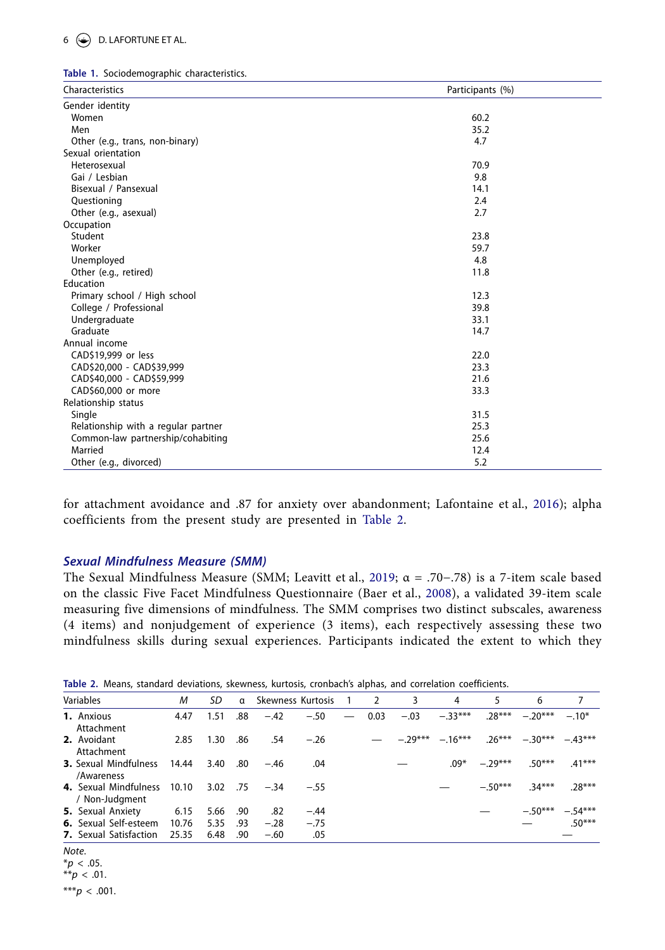# 6  $\bigodot$  D. LAFORTUNE ET AL.

<span id="page-6-0"></span>

|  |  | Table 1. Sociodemographic characteristics. |  |
|--|--|--------------------------------------------|--|
|--|--|--------------------------------------------|--|

| Characteristics                     | Participants (%) |
|-------------------------------------|------------------|
| Gender identity                     |                  |
| Women                               | 60.2             |
| Men                                 | 35.2             |
| Other (e.g., trans, non-binary)     | 4.7              |
| Sexual orientation                  |                  |
| Heterosexual                        | 70.9             |
| Gai / Lesbian                       | 9.8              |
| Bisexual / Pansexual                | 14.1             |
| Questioning                         | 2.4              |
| Other (e.g., asexual)               | 2.7              |
| Occupation                          |                  |
| Student                             | 23.8             |
| Worker                              | 59.7             |
| Unemployed                          | 4.8              |
| Other (e.g., retired)               | 11.8             |
| Education                           |                  |
| Primary school / High school        | 12.3             |
| College / Professional              | 39.8             |
| Undergraduate                       | 33.1             |
| Graduate                            | 14.7             |
| Annual income                       |                  |
| CAD\$19,999 or less                 | 22.0             |
| CAD\$20,000 - CAD\$39,999           | 23.3             |
| CAD\$40,000 - CAD\$59,999           | 21.6             |
| CAD\$60,000 or more                 | 33.3             |
| Relationship status                 |                  |
| Single                              | 31.5             |
| Relationship with a regular partner | 25.3             |
| Common-law partnership/cohabiting   | 25.6             |
| Married                             | 12.4             |
| Other (e.g., divorced)              | 5.2              |

for attachment avoidance and .87 for anxiety over abandonment; Lafontaine et al., [2016\)](#page-15-21); alpha coefficients from the present study are presented in [Table 2.](#page-6-1)

# *Sexual Mindfulness Measure (SMM)*

<span id="page-6-2"></span>The Sexual Mindfulness Measure (SMM; Leavitt et al., [2019](#page-15-7); α = .70−.78) is a 7-item scale based on the classic Five Facet Mindfulness Questionnaire (Baer et al., [2008](#page-13-16)), a validated 39-item scale measuring five dimensions of mindfulness. The SMM comprises two distinct subscales, awareness (4 items) and nonjudgement of experience (3 items), each respectively assessing these two mindfulness skills during sexual experiences. Participants indicated the extent to which they

| Variables                                        | м     | SD       |     | a Skewness-Kurtosis 1 |        |                          | $\overline{2}$ | 3      | 4         | 5         | 6                                                     |          |
|--------------------------------------------------|-------|----------|-----|-----------------------|--------|--------------------------|----------------|--------|-----------|-----------|-------------------------------------------------------|----------|
| 1. Anxious<br>Attachment                         | 4.47  | 1.51     | .88 | $-.42$                | $-.50$ | $\overline{\phantom{m}}$ | 0.03           | $-.03$ | $-.33***$ | $.28***$  | $-.20***$                                             | $-.10*$  |
| 2. Avoidant<br>Attachment                        | 2.85  | 1.30     | .86 | .54                   | $-.26$ |                          |                |        |           |           | $-0.29***$ $-0.16***$ $0.26***$ $-0.30***$ $-0.43***$ |          |
| <b>3.</b> Sexual Mindfulness 14.44<br>/Awareness |       | 3.40     |     | $.80 - .46$           | .04    |                          |                |        | $.09*$    | $-29***$  | $.50***$                                              | $.41***$ |
| 4. Sexual Mindfulness 10.10<br>/ Non-Judgment    |       |          |     | $3.02$ .75 $-.34$     | $-.55$ |                          |                |        |           | $-.50***$ | $34***$                                               | $.28***$ |
| <b>5.</b> Sexual Anxiety                         | 6.15  | 5.66 .90 |     | .82                   | $-.44$ |                          |                |        |           |           | $-.50***$                                             | $-54***$ |
| <b>6.</b> Sexual Self-esteem                     | 10.76 | 5.35 .93 |     | $-.28$                | $-.75$ |                          |                |        |           |           |                                                       | $.50***$ |
| <b>7.</b> Sexual Satisfaction                    | 25.35 | 6.48     | .90 | $-.60$                | .05    |                          |                |        |           |           |                                                       |          |

<span id="page-6-1"></span>

*Note*.

 $*$ *p* < .05.

\*\**p* < .01.

 $***p$  < .001.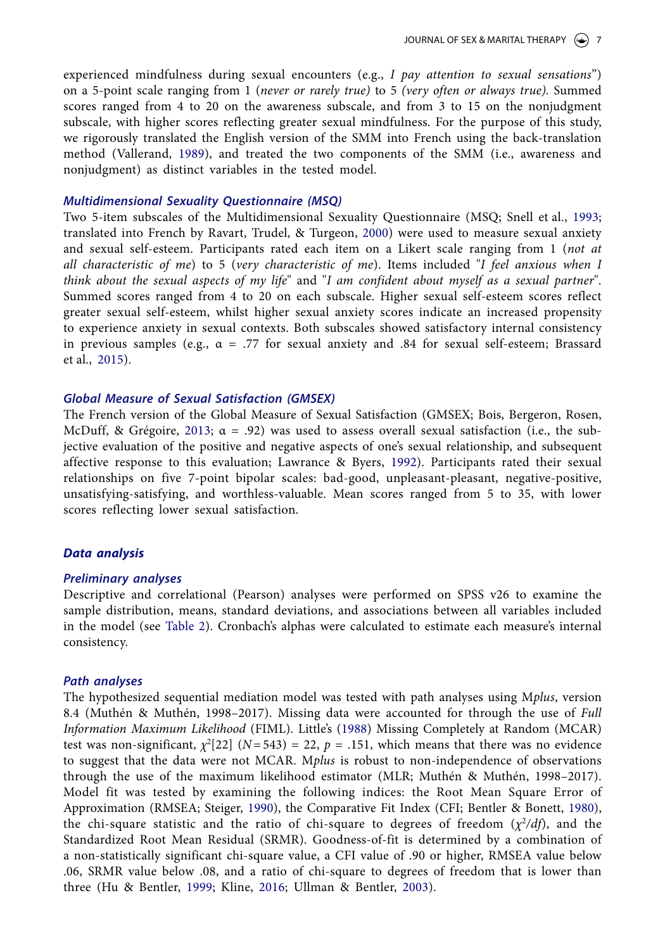experienced mindfulness during sexual encounters (e.g., *I pay attention to sexual sensations*") on a 5-point scale ranging from 1 (*never or rarely true)* to 5 *(very often or always true).* Summed scores ranged from 4 to 20 on the awareness subscale, and from 3 to 15 on the nonjudgment subscale, with higher scores reflecting greater sexual mindfulness. For the purpose of this study, we rigorously translated the English version of the SMM into French using the back-translation method (Vallerand, [1989\)](#page-17-3), and treated the two components of the SMM (i.e., awareness and nonjudgment) as distinct variables in the tested model.

### <span id="page-7-9"></span>*Multidimensional Sexuality Questionnaire (MSQ)*

<span id="page-7-6"></span>Two 5-item subscales of the Multidimensional Sexuality Questionnaire (MSQ; Snell et al., [1993;](#page-16-22) translated into French by Ravart, Trudel, & Turgeon, [2000](#page-16-23)) were used to measure sexual anxiety and sexual self-esteem. Participants rated each item on a Likert scale ranging from 1 (*not at all characteristic of me*) to 5 (*very characteristic of me*). Items included "*I feel anxious when I think about the sexual aspects of my life*" and "*I am confident about myself as a sexual partner*". Summed scores ranged from 4 to 20 on each subscale. Higher sexual self-esteem scores reflect greater sexual self-esteem, whilst higher sexual anxiety scores indicate an increased propensity to experience anxiety in sexual contexts. Both subscales showed satisfactory internal consistency in previous samples (e.g.,  $\alpha = .77$  for sexual anxiety and .84 for sexual self-esteem; Brassard et al., [2015\)](#page-14-5).

# *Global Measure of Sexual Satisfaction (GMSEX)*

<span id="page-7-4"></span><span id="page-7-1"></span>The French version of the Global Measure of Sexual Satisfaction (GMSEX; Bois, Bergeron, Rosen, McDuff, & Grégoire, [2013;](#page-13-17)  $\alpha = .92$ ) was used to assess overall sexual satisfaction (i.e., the subjective evaluation of the positive and negative aspects of one's sexual relationship, and subsequent affective response to this evaluation; Lawrance & Byers, [1992\)](#page-15-22). Participants rated their sexual relationships on five 7-point bipolar scales: bad-good, unpleasant-pleasant, negative-positive, unsatisfying-satisfying, and worthless-valuable. Mean scores ranged from 5 to 35, with lower scores reflecting lower sexual satisfaction.

# *Data analysis*

#### *Preliminary analyses*

Descriptive and correlational (Pearson) analyses were performed on SPSS v26 to examine the sample distribution, means, standard deviations, and associations between all variables included in the model (see [Table 2\)](#page-6-1). Cronbach's alphas were calculated to estimate each measure's internal consistency.

#### *Path analyses*

<span id="page-7-8"></span><span id="page-7-7"></span><span id="page-7-5"></span><span id="page-7-3"></span><span id="page-7-2"></span><span id="page-7-0"></span>The hypothesized sequential mediation model was tested with path analyses using M*plus*, version 8.4 (Muthén & Muthén, 1998–2017). Missing data were accounted for through the use of *Full Information Maximum Likelihood* (FIML). Little's ([1988](#page-15-23)) Missing Completely at Random (MCAR) test was non-significant,  $\chi^2[22]$  ( $N=543$ ) = 22,  $p = .151$ , which means that there was no evidence to suggest that the data were not MCAR. M*plus* is robust to non-independence of observations through the use of the maximum likelihood estimator (MLR; Muthén & Muthén, 1998–2017). Model fit was tested by examining the following indices: the Root Mean Square Error of Approximation (RMSEA; Steiger, [1990](#page-16-24)), the Comparative Fit Index (CFI; Bentler & Bonett, [1980](#page-13-18)), the chi-square statistic and the ratio of chi-square to degrees of freedom  $(\chi^2/df)$ , and the Standardized Root Mean Residual (SRMR). Goodness-of-fit is determined by a combination of a non-statistically significant chi-square value, a CFI value of .90 or higher, RMSEA value below .06, SRMR value below .08, and a ratio of chi-square to degrees of freedom that is lower than three (Hu & Bentler, [1999;](#page-15-24) Kline, [2016;](#page-15-25) Ullman & Bentler, [2003\)](#page-17-4).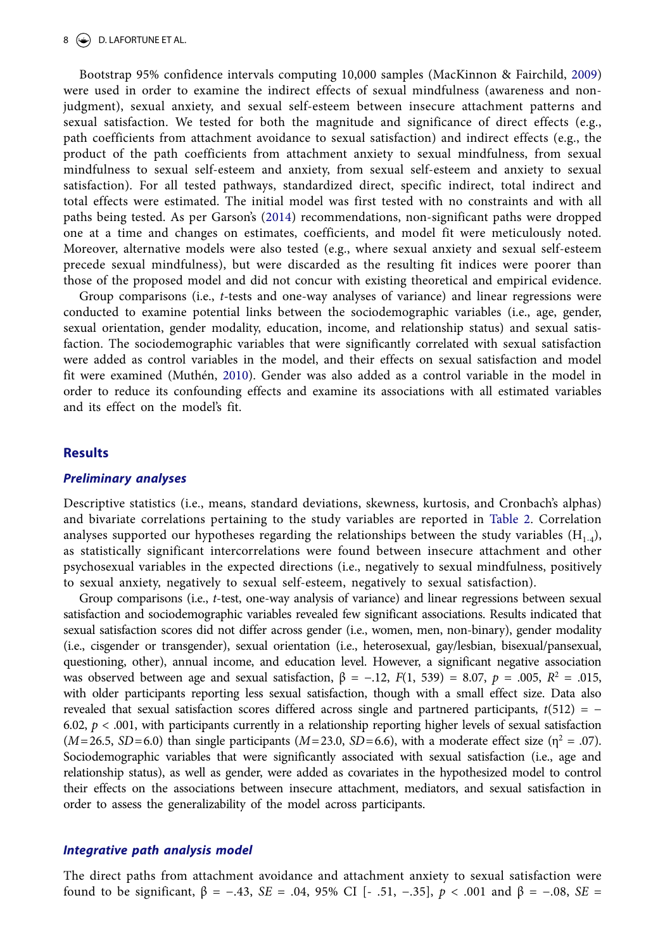# $8 \leftrightarrow$  D. LAFORTUNE ET AL.

<span id="page-8-1"></span>Bootstrap 95% confidence intervals computing 10,000 samples (MacKinnon & Fairchild, [2009\)](#page-15-26) were used in order to examine the indirect effects of sexual mindfulness (awareness and nonjudgment), sexual anxiety, and sexual self-esteem between insecure attachment patterns and sexual satisfaction. We tested for both the magnitude and significance of direct effects (e.g., path coefficients from attachment avoidance to sexual satisfaction) and indirect effects (e.g., the product of the path coefficients from attachment anxiety to sexual mindfulness, from sexual mindfulness to sexual self-esteem and anxiety, from sexual self-esteem and anxiety to sexual satisfaction). For all tested pathways, standardized direct, specific indirect, total indirect and total effects were estimated. The initial model was first tested with no constraints and with all paths being tested. As per Garson's [\(2014\)](#page-14-22) recommendations, non-significant paths were dropped one at a time and changes on estimates, coefficients, and model fit were meticulously noted. Moreover, alternative models were also tested (e.g., where sexual anxiety and sexual self-esteem precede sexual mindfulness), but were discarded as the resulting fit indices were poorer than those of the proposed model and did not concur with existing theoretical and empirical evidence.

<span id="page-8-2"></span><span id="page-8-0"></span>Group comparisons (i.e., *t*-tests and one-way analyses of variance) and linear regressions were conducted to examine potential links between the sociodemographic variables (i.e., age, gender, sexual orientation, gender modality, education, income, and relationship status) and sexual satisfaction. The sociodemographic variables that were significantly correlated with sexual satisfaction were added as control variables in the model, and their effects on sexual satisfaction and model fit were examined (Muthén, [2010](#page-16-25)). Gender was also added as a control variable in the model in order to reduce its confounding effects and examine its associations with all estimated variables and its effect on the model's fit.

#### **Results**

#### *Preliminary analyses*

Descriptive statistics (i.e., means, standard deviations, skewness, kurtosis, and Cronbach's alphas) and bivariate correlations pertaining to the study variables are reported in [Table 2.](#page-6-1) Correlation analyses supported our hypotheses regarding the relationships between the study variables  $(H_{1-4})$ , as statistically significant intercorrelations were found between insecure attachment and other psychosexual variables in the expected directions (i.e., negatively to sexual mindfulness, positively to sexual anxiety, negatively to sexual self-esteem, negatively to sexual satisfaction).

Group comparisons (i.e., *t*-test, one-way analysis of variance) and linear regressions between sexual satisfaction and sociodemographic variables revealed few significant associations. Results indicated that sexual satisfaction scores did not differ across gender (i.e., women, men, non-binary), gender modality (i.e., cisgender or transgender), sexual orientation (i.e., heterosexual, gay/lesbian, bisexual/pansexual, questioning, other), annual income, and education level. However, a significant negative association was observed between age and sexual satisfaction,  $β = -.12, F(1, 539) = 8.07, p = .005, R<sup>2</sup> = .015,$ with older participants reporting less sexual satisfaction, though with a small effect size. Data also revealed that sexual satisfaction scores differed across single and partnered participants,  $t(512) = -$ 6.02,  $p < .001$ , with participants currently in a relationship reporting higher levels of sexual satisfaction  $(M=26.5, SD=6.0)$  than single participants  $(M=23.0, SD=6.6)$ , with a moderate effect size  $(\eta^2 = .07)$ . Sociodemographic variables that were significantly associated with sexual satisfaction (i.e., age and relationship status), as well as gender, were added as covariates in the hypothesized model to control their effects on the associations between insecure attachment, mediators, and sexual satisfaction in order to assess the generalizability of the model across participants.

#### *Integrative path analysis model*

The direct paths from attachment avoidance and attachment anxiety to sexual satisfaction were found to be significant, β = −.43, *SE* = .04, 95% CI [- .51, −.35], *p* < .001 and β = −.08, *SE* =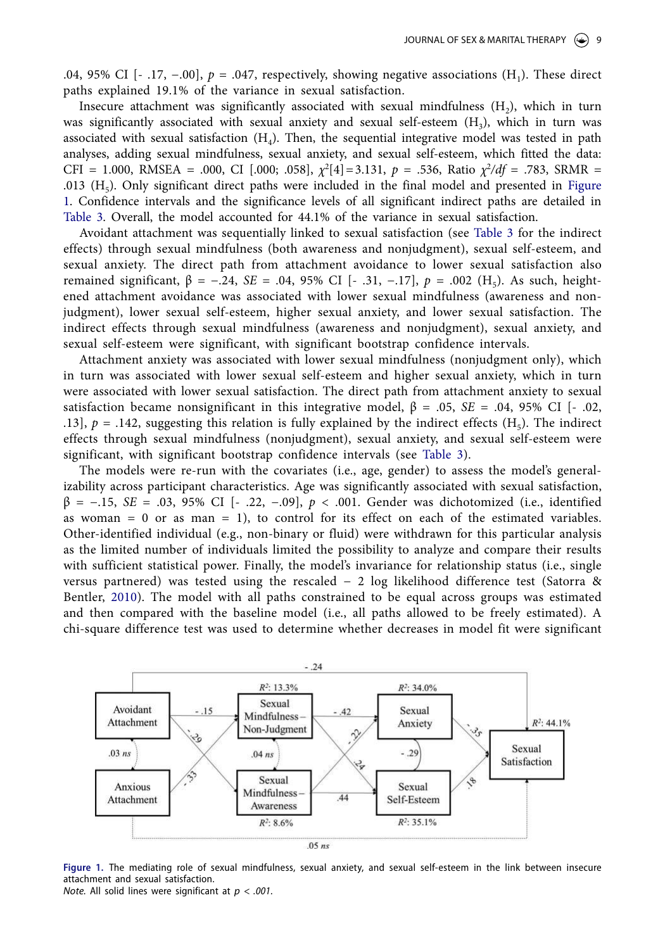.04, 95% CI [- .17, −.00], *p* = .047, respectively, showing negative associations (H1). These direct paths explained 19.1% of the variance in sexual satisfaction.

Insecure attachment was significantly associated with sexual mindfulness  $(H_2)$ , which in turn was significantly associated with sexual anxiety and sexual self-esteem  $(H_3)$ , which in turn was associated with sexual satisfaction  $(H<sub>4</sub>)$ . Then, the sequential integrative model was tested in path analyses, adding sexual mindfulness, sexual anxiety, and sexual self-esteem, which fitted the data: CFI = 1.000, RMSEA = .000, CI [.000; .058],  $\chi^2[4] = 3.131$ ,  $p = .536$ , Ratio  $\chi^2/df = .783$ , SRMR = .013 ( $H<sub>5</sub>$ ). Only significant direct paths were included in the final model and presented in Figure [1.](#page-9-0) Confidence intervals and the significance levels of all significant indirect paths are detailed in [Table 3.](#page-10-0) Overall, the model accounted for 44.1% of the variance in sexual satisfaction.

Avoidant attachment was sequentially linked to sexual satisfaction (see [Table 3](#page-10-0) for the indirect effects) through sexual mindfulness (both awareness and nonjudgment), sexual self-esteem, and sexual anxiety. The direct path from attachment avoidance to lower sexual satisfaction also remained significant,  $β = -.24$ ,  $SE = .04$ ,  $95\%$  CI [- .31, -.17],  $p = .002$  (H<sub>5</sub>). As such, heightened attachment avoidance was associated with lower sexual mindfulness (awareness and nonjudgment), lower sexual self-esteem, higher sexual anxiety, and lower sexual satisfaction. The indirect effects through sexual mindfulness (awareness and nonjudgment), sexual anxiety, and sexual self-esteem were significant, with significant bootstrap confidence intervals.

Attachment anxiety was associated with lower sexual mindfulness (nonjudgment only), which in turn was associated with lower sexual self-esteem and higher sexual anxiety, which in turn were associated with lower sexual satisfaction. The direct path from attachment anxiety to sexual satisfaction became nonsignificant in this integrative model,  $β = .05$ ,  $SE = .04$ ,  $95%$  CI [- .02, .13],  $p = .142$ , suggesting this relation is fully explained by the indirect effects (H<sub>5</sub>). The indirect effects through sexual mindfulness (nonjudgment), sexual anxiety, and sexual self-esteem were significant, with significant bootstrap confidence intervals (see [Table 3](#page-10-0)).

The models were re-run with the covariates (i.e., age, gender) to assess the model's generalizability across participant characteristics. Age was significantly associated with sexual satisfaction, β = −.15, *SE* = .03, 95% CI [- .22, −.09], *p* < .001. Gender was dichotomized (i.e., identified as woman  $= 0$  or as man  $= 1$ ), to control for its effect on each of the estimated variables. Other-identified individual (e.g., non-binary or fluid) were withdrawn for this particular analysis as the limited number of individuals limited the possibility to analyze and compare their results with sufficient statistical power. Finally, the model's invariance for relationship status (i.e., single versus partnered) was tested using the rescaled − 2 log likelihood difference test (Satorra & Bentler, 2010). The model with all paths constrained to be equal across groups was estimated and then compared with the baseline model (i.e., all paths allowed to be freely estimated). A chi-square difference test was used to determine whether decreases in model fit were significant



<span id="page-9-0"></span>**Figure 1.** The mediating role of sexual mindfulness, sexual anxiety, and sexual self-esteem in the link between insecure attachment and sexual satisfaction.

*Note.* All solid lines were significant at *p < .001*.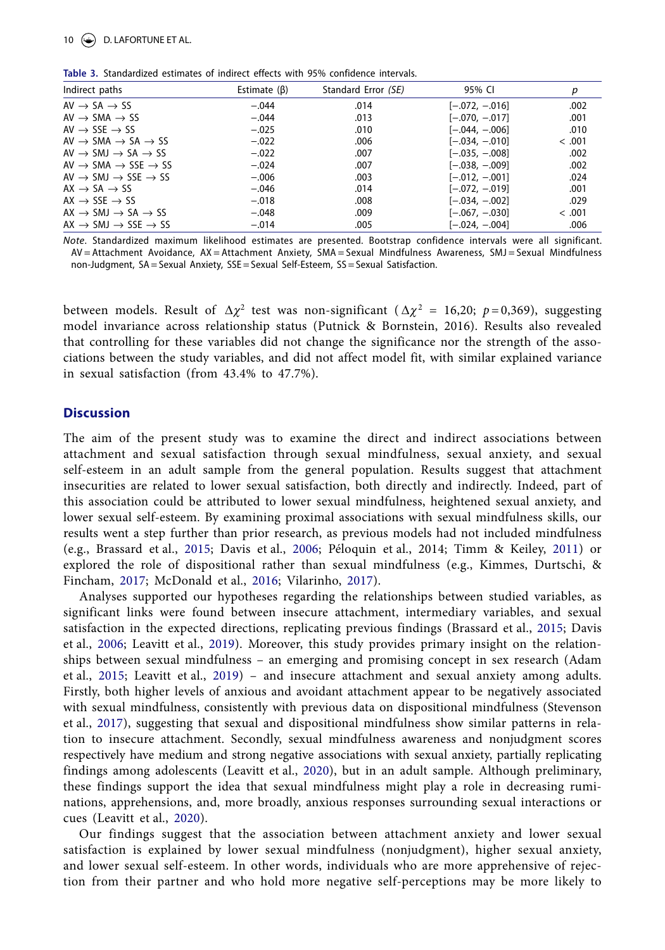<span id="page-10-0"></span>

| Table 3. Standardized estimates of indirect effects with 95% confidence intervals. |  |  |  |  |  |  |
|------------------------------------------------------------------------------------|--|--|--|--|--|--|
|------------------------------------------------------------------------------------|--|--|--|--|--|--|

| Indirect paths                                      | Estimate $(\beta)$ | Standard Error (SE) | 95% CI           | р      |
|-----------------------------------------------------|--------------------|---------------------|------------------|--------|
| $AV \rightarrow SA \rightarrow SS$                  | $-.044$            | .014                | $[-.072, -.016]$ | .002   |
| $AV \rightarrow SMA \rightarrow SS$                 | $-.044$            | .013                | $[-.070, -.017]$ | .001   |
| AV $\rightarrow$ SSE $\rightarrow$ SS               | $-.025$            | .010                | $[-.044, -.006]$ | .010   |
| $AV \rightarrow SMA \rightarrow SA \rightarrow SS$  | $-.022$            | .006                | $[-.034, -.010]$ | < .001 |
| $AV \rightarrow SMJ \rightarrow SA \rightarrow SS$  | $-.022$            | .007                | $[-.035, -.008]$ | .002   |
| $AV \rightarrow SMA \rightarrow SSE \rightarrow SS$ | $-.024$            | .007                | $[-.038, -.009]$ | .002   |
| $AV \rightarrow SMJ \rightarrow SSE \rightarrow SS$ | $-.006$            | .003                | $[-.012, -.001]$ | .024   |
| $AX \rightarrow SA \rightarrow SS$                  | $-.046$            | .014                | $[-.072, -.019]$ | .001   |
| $AX \rightarrow SSE \rightarrow SS$                 | $-.018$            | .008                | $[-.034, -.002]$ | .029   |
| $AX \rightarrow SMJ \rightarrow SA \rightarrow SS$  | $-.048$            | .009                | $[-.067, -.030]$ | < .001 |
| $AX \rightarrow SMJ \rightarrow SSE \rightarrow SS$ | $-.014$            | .005                | $[-.024, -.004]$ | .006   |

*Note*. Standardized maximum likelihood estimates are presented. Bootstrap confidence intervals were all significant. AV = Attachment Avoidance, AX = Attachment Anxiety, SMA = Sexual Mindfulness Awareness, SMJ = Sexual Mindfulness non-Judgment, SA =Sexual Anxiety, SSE =Sexual Self-Esteem, SS=Sexual Satisfaction.

between models. Result of  $\Delta \chi^2$  test was non-significant ( $\Delta \chi^2 = 16,20$ ;  $p = 0,369$ ), suggesting model invariance across relationship status (Putnick & Bornstein, 2016). Results also revealed that controlling for these variables did not change the significance nor the strength of the associations between the study variables, and did not affect model fit, with similar explained variance in sexual satisfaction (from 43.4% to 47.7%).

#### **Discussion**

The aim of the present study was to examine the direct and indirect associations between attachment and sexual satisfaction through sexual mindfulness, sexual anxiety, and sexual self-esteem in an adult sample from the general population. Results suggest that attachment insecurities are related to lower sexual satisfaction, both directly and indirectly. Indeed, part of this association could be attributed to lower sexual mindfulness, heightened sexual anxiety, and lower sexual self-esteem. By examining proximal associations with sexual mindfulness skills, our results went a step further than prior research, as previous models had not included mindfulness (e.g., Brassard et al., [2015;](#page-14-5) Davis et al., [2006](#page-14-11); Péloquin et al., 2014; Timm & Keiley, [2011\)](#page-17-5) or explored the role of dispositional rather than sexual mindfulness (e.g., Kimmes, Durtschi, & Fincham, [2017](#page-15-27); McDonald et al., [2016;](#page-15-28) Vilarinho, [2017\)](#page-17-6).

<span id="page-10-4"></span><span id="page-10-3"></span><span id="page-10-2"></span><span id="page-10-1"></span>Analyses supported our hypotheses regarding the relationships between studied variables, as significant links were found between insecure attachment, intermediary variables, and sexual satisfaction in the expected directions, replicating previous findings (Brassard et al., [2015;](#page-14-5) Davis et al., [2006;](#page-14-23) Leavitt et al., [2019\)](#page-15-7). Moreover, this study provides primary insight on the relationships between sexual mindfulness – an emerging and promising concept in sex research (Adam et al., [2015](#page-13-19); Leavitt et al., [2019\)](#page-15-7) – and insecure attachment and sexual anxiety among adults. Firstly, both higher levels of anxious and avoidant attachment appear to be negatively associated with sexual mindfulness, consistently with previous data on dispositional mindfulness (Stevenson et al., [2017](#page-16-1)), suggesting that sexual and dispositional mindfulness show similar patterns in relation to insecure attachment. Secondly, sexual mindfulness awareness and nonjudgment scores respectively have medium and strong negative associations with sexual anxiety, partially replicating findings among adolescents (Leavitt et al., [2020\)](#page-15-8), but in an adult sample. Although preliminary, these findings support the idea that sexual mindfulness might play a role in decreasing ruminations, apprehensions, and, more broadly, anxious responses surrounding sexual interactions or cues (Leavitt et al., [2020\)](#page-15-8).

Our findings suggest that the association between attachment anxiety and lower sexual satisfaction is explained by lower sexual mindfulness (nonjudgment), higher sexual anxiety, and lower sexual self-esteem. In other words, individuals who are more apprehensive of rejection from their partner and who hold more negative self-perceptions may be more likely to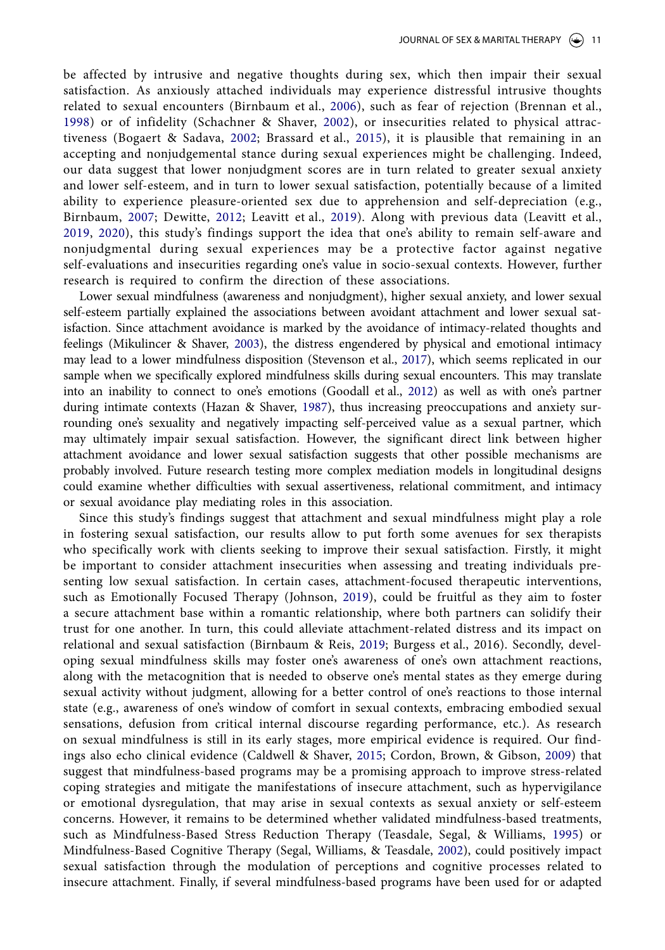<span id="page-11-5"></span>be affected by intrusive and negative thoughts during sex, which then impair their sexual satisfaction. As anxiously attached individuals may experience distressful intrusive thoughts related to sexual encounters (Birnbaum et al., [2006](#page-13-20)), such as fear of rejection (Brennan et al., [1998](#page-14-24)) or of infidelity (Schachner & Shaver, [2002](#page-16-26)), or insecurities related to physical attractiveness (Bogaert & Sadava, [2002;](#page-13-21) Brassard et al., [2015\)](#page-14-25), it is plausible that remaining in an accepting and nonjudgemental stance during sexual experiences might be challenging. Indeed, our data suggest that lower nonjudgment scores are in turn related to greater sexual anxiety and lower self-esteem, and in turn to lower sexual satisfaction, potentially because of a limited ability to experience pleasure-oriented sex due to apprehension and self-depreciation (e.g., Birnbaum, [2007](#page-13-22); Dewitte, [2012;](#page-14-26) Leavitt et al., [2019\)](#page-15-7). Along with previous data (Leavitt et al., [2019](#page-15-29), [2020\)](#page-15-30), this study's findings support the idea that one's ability to remain self-aware and nonjudgmental during sexual experiences may be a protective factor against negative self-evaluations and insecurities regarding one's value in socio-sexual contexts. However, further research is required to confirm the direction of these associations.

<span id="page-11-3"></span>Lower sexual mindfulness (awareness and nonjudgment), higher sexual anxiety, and lower sexual self-esteem partially explained the associations between avoidant attachment and lower sexual satisfaction. Since attachment avoidance is marked by the avoidance of intimacy-related thoughts and feelings (Mikulincer & Shaver, [2003\)](#page-16-27), the distress engendered by physical and emotional intimacy may lead to a lower mindfulness disposition (Stevenson et al., [2017\)](#page-16-1), which seems replicated in our sample when we specifically explored mindfulness skills during sexual encounters. This may translate into an inability to connect to one's emotions (Goodall et al., [2012](#page-14-27)) as well as with one's partner during intimate contexts (Hazan & Shaver, [1987](#page-15-31)), thus increasing preoccupations and anxiety surrounding one's sexuality and negatively impacting self-perceived value as a sexual partner, which may ultimately impair sexual satisfaction. However, the significant direct link between higher attachment avoidance and lower sexual satisfaction suggests that other possible mechanisms are probably involved. Future research testing more complex mediation models in longitudinal designs could examine whether difficulties with sexual assertiveness, relational commitment, and intimacy or sexual avoidance play mediating roles in this association.

<span id="page-11-7"></span><span id="page-11-6"></span><span id="page-11-4"></span><span id="page-11-2"></span><span id="page-11-1"></span><span id="page-11-0"></span>Since this study's findings suggest that attachment and sexual mindfulness might play a role in fostering sexual satisfaction, our results allow to put forth some avenues for sex therapists who specifically work with clients seeking to improve their sexual satisfaction. Firstly, it might be important to consider attachment insecurities when assessing and treating individuals presenting low sexual satisfaction. In certain cases, attachment-focused therapeutic interventions, such as Emotionally Focused Therapy (Johnson, [2019\)](#page-15-32), could be fruitful as they aim to foster a secure attachment base within a romantic relationship, where both partners can solidify their trust for one another. In turn, this could alleviate attachment-related distress and its impact on relational and sexual satisfaction (Birnbaum & Reis, [2019](#page-13-23); Burgess et al., 2016). Secondly, developing sexual mindfulness skills may foster one's awareness of one's own attachment reactions, along with the metacognition that is needed to observe one's mental states as they emerge during sexual activity without judgment, allowing for a better control of one's reactions to those internal state (e.g., awareness of one's window of comfort in sexual contexts, embracing embodied sexual sensations, defusion from critical internal discourse regarding performance, etc.). As research on sexual mindfulness is still in its early stages, more empirical evidence is required. Our findings also echo clinical evidence (Caldwell & Shaver, [2015](#page-14-28); Cordon, Brown, & Gibson, [2009\)](#page-14-29) that suggest that mindfulness-based programs may be a promising approach to improve stress-related coping strategies and mitigate the manifestations of insecure attachment, such as hypervigilance or emotional dysregulation, that may arise in sexual contexts as sexual anxiety or self-esteem concerns. However, it remains to be determined whether validated mindfulness-based treatments, such as Mindfulness-Based Stress Reduction Therapy (Teasdale, Segal, & Williams, [1995](#page-17-7)) or Mindfulness-Based Cognitive Therapy (Segal, Williams, & Teasdale, [2002](#page-16-28)), could positively impact sexual satisfaction through the modulation of perceptions and cognitive processes related to insecure attachment. Finally, if several mindfulness-based programs have been used for or adapted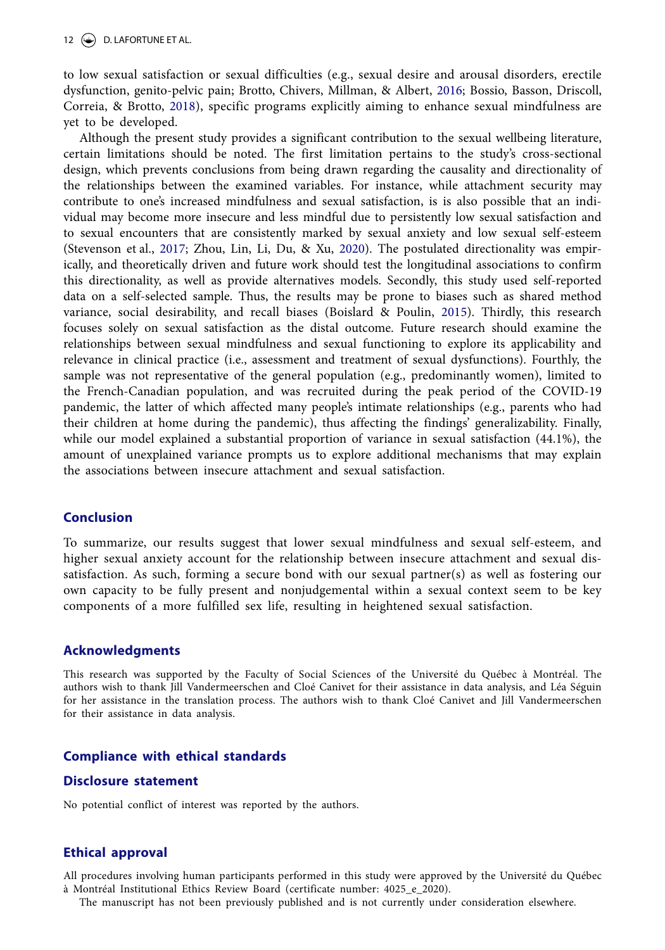<span id="page-12-2"></span><span id="page-12-1"></span>to low sexual satisfaction or sexual difficulties (e.g., sexual desire and arousal disorders, erectile dysfunction, genito-pelvic pain; Brotto, Chivers, Millman, & Albert, [2016](#page-14-30); Bossio, Basson, Driscoll, Correia, & Brotto, [2018](#page-13-24)), specific programs explicitly aiming to enhance sexual mindfulness are yet to be developed.

<span id="page-12-3"></span><span id="page-12-0"></span>Although the present study provides a significant contribution to the sexual wellbeing literature, certain limitations should be noted. The first limitation pertains to the study's cross-sectional design, which prevents conclusions from being drawn regarding the causality and directionality of the relationships between the examined variables. For instance, while attachment security may contribute to one's increased mindfulness and sexual satisfaction, is is also possible that an individual may become more insecure and less mindful due to persistently low sexual satisfaction and to sexual encounters that are consistently marked by sexual anxiety and low sexual self-esteem (Stevenson et al., [2017](#page-16-29); Zhou, Lin, Li, Du, & Xu, [2020\)](#page-17-8). The postulated directionality was empirically, and theoretically driven and future work should test the longitudinal associations to confirm this directionality, as well as provide alternatives models. Secondly, this study used self-reported data on a self-selected sample. Thus, the results may be prone to biases such as shared method variance, social desirability, and recall biases (Boislard & Poulin, [2015\)](#page-13-25). Thirdly, this research focuses solely on sexual satisfaction as the distal outcome. Future research should examine the relationships between sexual mindfulness and sexual functioning to explore its applicability and relevance in clinical practice (i.e., assessment and treatment of sexual dysfunctions). Fourthly, the sample was not representative of the general population (e.g., predominantly women), limited to the French-Canadian population, and was recruited during the peak period of the COVID-19 pandemic, the latter of which affected many people's intimate relationships (e.g., parents who had their children at home during the pandemic), thus affecting the findings' generalizability. Finally, while our model explained a substantial proportion of variance in sexual satisfaction (44.1%), the amount of unexplained variance prompts us to explore additional mechanisms that may explain the associations between insecure attachment and sexual satisfaction.

# **Conclusion**

To summarize, our results suggest that lower sexual mindfulness and sexual self-esteem, and higher sexual anxiety account for the relationship between insecure attachment and sexual dissatisfaction. As such, forming a secure bond with our sexual partner(s) as well as fostering our own capacity to be fully present and nonjudgemental within a sexual context seem to be key components of a more fulfilled sex life, resulting in heightened sexual satisfaction.

# **Acknowledgments**

This research was supported by the Faculty of Social Sciences of the Université du Québec à Montréal. The authors wish to thank Jill Vandermeerschen and Cloé Canivet for their assistance in data analysis, and Léa Séguin for her assistance in the translation process. The authors wish to thank Cloé Canivet and Jill Vandermeerschen for their assistance in data analysis.

# **Compliance with ethical standards**

#### **Disclosure statement**

No potential conflict of interest was reported by the authors.

# **Ethical approval**

All procedures involving human participants performed in this study were approved by the Université du Québec à Montréal Institutional Ethics Review Board (certificate number: 4025\_e\_2020).

The manuscript has not been previously published and is not currently under consideration elsewhere.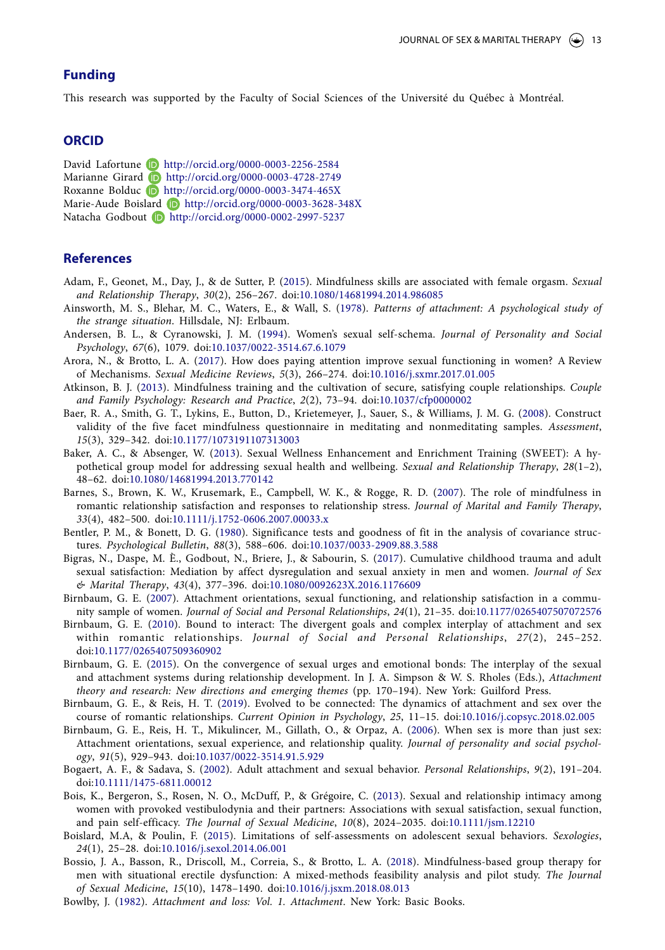# **Funding**

This research was supported by the Faculty of Social Sciences of the Université du Québec à Montréal.

# **ORCID**

David Lafortune **D** <http://orcid.org/0000-0003-2256-2584> Marianne Girard D <http://orcid.org/0000-0003-4728-2749> Roxanne Bolduc D <http://orcid.org/0000-0003-3474-465X> Marie-Aude Boislard D <http://orcid.org/0000-0003-3628-348X> Natacha Godbout D <http://orcid.org/0000-0002-2997-5237>

## **References**

- <span id="page-13-19"></span><span id="page-13-7"></span>Adam, F., Geonet, M., Day, J., & de Sutter, P. ([2015](#page-3-0)). Mindfulness skills are associated with female orgasm. *Sexual and Relationship Therapy*, *30*(2), 256–267. doi:[10.1080/14681994.2014.986085](https://doi.org/10.1080/14681994.2014.986085)
- <span id="page-13-1"></span>Ainsworth, M. S., Blehar, M. C., Waters, E., & Wall, S. ([1978](#page-2-0)). *Patterns of attachment: A psychological study of the strange situation*. Hillsdale, NJ: Erlbaum.
- <span id="page-13-14"></span>Andersen, B. L., & Cyranowski, J. M. [\(1994](#page-4-0)). Women's sexual self-schema. *Journal of Personality and Social Psychology*, *67*(6), 1079. doi[:10.1037/0022-3514.67.6.1079](https://doi.org/10.1037/0022-3514.67.6.1079)
- <span id="page-13-8"></span>Arora, N., & Brotto, L. A. [\(2017\)](#page-3-1). How does paying attention improve sexual functioning in women? A Review of Mechanisms. *Sexual Medicine Reviews*, *5*(3), 266–274. doi[:10.1016/j.sxmr.2017.01.005](https://doi.org/10.1016/j.sxmr.2017.01.005)
- <span id="page-13-9"></span>Atkinson, B. J. ([2013](#page-3-2)). Mindfulness training and the cultivation of secure, satisfying couple relationships. *Couple and Family Psychology: Research and Practice*, *2*(2), 73–94. doi:[10.1037/cfp0000002](https://doi.org/10.1037/cfp0000002)
- <span id="page-13-16"></span>Baer, R. A., Smith, G. T., Lykins, E., Button, D., Krietemeyer, J., Sauer, S., & Williams, J. M. G. ([2008\)](#page-6-2). Construct validity of the five facet mindfulness questionnaire in meditating and nonmeditating samples. *Assessment*, *15*(3), 329–342. doi:[10.1177/1073191107313003](https://doi.org/10.1177/1073191107313003)
- <span id="page-13-12"></span>Baker, A. C., & Absenger, W. ([2013\)](#page-4-1). Sexual Wellness Enhancement and Enrichment Training (SWEET): A hypothetical group model for addressing sexual health and wellbeing. *Sexual and Relationship Therapy*, *28*(1–2), 48–62. doi:[10.1080/14681994.2013.770142](https://doi.org/10.1080/14681994.2013.770142)
- <span id="page-13-10"></span>Barnes, S., Brown, K. W., Krusemark, E., Campbell, W. K., & Rogge, R. D. [\(2007](#page-3-3)). The role of mindfulness in romantic relationship satisfaction and responses to relationship stress. *Journal of Marital and Family Therapy*, *33*(4), 482–500. doi:[10.1111/j.1752-0606.2007.00033.x](https://doi.org/10.1111/j.1752-0606.2007.00033.x)
- <span id="page-13-18"></span>Bentler, P. M., & Bonett, D. G. [\(1980](#page-7-0)). Significance tests and goodness of fit in the analysis of covariance structures. *Psychological Bulletin*, *88*(3), 588–606. doi:[10.1037/0033-2909.88.3.588](https://doi.org/10.1037/0033-2909.88.3.588)
- <span id="page-13-13"></span>Bigras, N., Daspe, M. È., Godbout, N., Briere, J., & Sabourin, S. ([2017\)](#page-4-2). Cumulative childhood trauma and adult sexual satisfaction: Mediation by affect dysregulation and sexual anxiety in men and women. *Journal of Sex & Marital Therapy*, *43*(4), 377–396. doi[:10.1080/0092623X.2016.1176609](https://doi.org/10.1080/0092623X.2016.1176609)
- <span id="page-13-22"></span><span id="page-13-5"></span>Birnbaum, G. E. ([2007\)](#page-2-1). Attachment orientations, sexual functioning, and relationship satisfaction in a community sample of women. *Journal of Social and Personal Relationships*, *24*(1), 21–35. doi:[10.1177/0265407507072576](https://doi.org/10.1177/0265407507072576)
- <span id="page-13-3"></span><span id="page-13-0"></span>Birnbaum, G. E. [\(2010\)](#page-1-0). Bound to interact: The divergent goals and complex interplay of attachment and sex within romantic relationships. *Journal of Social and Personal Relationships*, *27*(2), 245–252. doi[:10.1177/0265407509360902](https://doi.org/10.1177/0265407509360902)
- <span id="page-13-6"></span><span id="page-13-4"></span>Birnbaum, G. E. [\(2015\)](#page-2-2). On the convergence of sexual urges and emotional bonds: The interplay of the sexual and attachment systems during relationship development. In J. A. Simpson & W. S. Rholes (Eds.), *Attachment theory and research: New directions and emerging themes* (pp. 170–194). New York: Guilford Press.
- <span id="page-13-23"></span><span id="page-13-11"></span>Birnbaum, G. E., & Reis, H. T. ([2019\)](#page-11-0). Evolved to be connected: The dynamics of attachment and sex over the course of romantic relationships. *Current Opinion in Psychology*, *25*, 11–15. doi:[10.1016/j.copsyc.2018.02.005](https://doi.org/10.1016/j.copsyc.2018.02.005)
- <span id="page-13-20"></span>Birnbaum, G. E., Reis, H. T., Mikulincer, M., Gillath, O., & Orpaz, A. ([2006](#page-4-3)). When sex is more than just sex: Attachment orientations, sexual experience, and relationship quality. *Journal of personality and social psychology*, *91*(5), 929–943. doi:[10.1037/0022-3514.91.5.929](https://doi.org/10.1037/0022-3514.91.5.929)
- <span id="page-13-21"></span><span id="page-13-15"></span>Bogaert, A. F., & Sadava, S. [\(2002](#page-4-4)). Adult attachment and sexual behavior. *Personal Relationships*, *9*(2), 191–204. doi[:10.1111/1475-6811.00012](https://doi.org/10.1111/1475-6811.00012)
- <span id="page-13-17"></span>Bois, K., Bergeron, S., Rosen, N. O., McDuff, P., & Grégoire, C. ([2013\)](#page-7-1). Sexual and relationship intimacy among women with provoked vestibulodynia and their partners: Associations with sexual satisfaction, sexual function, and pain self-efficacy. *The Journal of Sexual Medicine*, *10*(8), 2024–2035. doi:[10.1111/jsm.12210](https://doi.org/10.1111/jsm.12210)
- <span id="page-13-25"></span>Boislard, M.A, & Poulin, F. [\(2015\)](#page-12-0). Limitations of self-assessments on adolescent sexual behaviors. *Sexologies*, *24*(1), 25–28. doi[:10.1016/j.sexol.2014.06.001](https://doi.org/10.1016/j.sexol.2014.06.001)
- <span id="page-13-24"></span>Bossio, J. A., Basson, R., Driscoll, M., Correia, S., & Brotto, L. A. ([2018\)](#page-12-1). Mindfulness-based group therapy for men with situational erectile dysfunction: A mixed-methods feasibility analysis and pilot study. *The Journal of Sexual Medicine*, *15*(10), 1478–1490. doi[:10.1016/j.jsxm.2018.08.013](https://doi.org/10.1016/j.jsxm.2018.08.013)
- <span id="page-13-2"></span>Bowlby, J. [\(1982\)](#page-2-3). *Attachment and loss: Vol. 1. Attachment*. New York: Basic Books.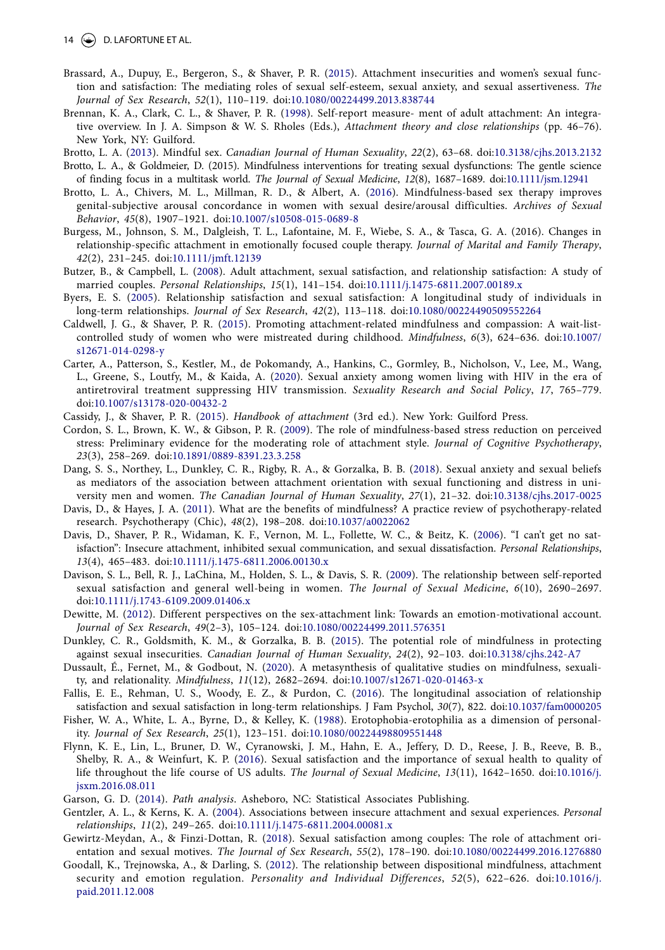- <span id="page-14-25"></span><span id="page-14-5"></span>Brassard, A., Dupuy, E., Bergeron, S., & Shaver, P. R. ([2015\)](#page-1-1). Attachment insecurities and women's sexual function and satisfaction: The mediating roles of sexual self-esteem, sexual anxiety, and sexual assertiveness. *The Journal of Sex Research*, *52*(1), 110–119. doi[:10.1080/00224499.2013.838744](https://doi.org/10.1080/00224499.2013.838744)
- <span id="page-14-24"></span><span id="page-14-9"></span>Brennan, K. A., Clark, C. L., & Shaver, P. R. ([1998](#page-2-4)). Self-report measure- ment of adult attachment: An integrative overview. In J. A. Simpson & W. S. Rholes (Eds.), *Attachment theory and close relationships* (pp. 46–76). New York, NY: Guilford.
- <span id="page-14-16"></span>Brotto, L. A. ([2013](#page-4-5)). Mindful sex. *Canadian Journal of Human Sexuality*, *22*(2), 63–68. doi:[10.3138/cjhs.2013.2132](https://doi.org/10.3138/cjhs.2013.2132) Brotto, L. A., & Goldmeier, D. (2015). Mindfulness interventions for treating sexual dysfunctions: The gentle science
- of finding focus in a multitask world. *The Journal of Sexual Medicine*, *12*(8), 1687–1689. doi:[10.1111/jsm.12941](https://doi.org/10.1111/jsm.12941)
- <span id="page-14-30"></span>Brotto, L. A., Chivers, M. L., Millman, R. D., & Albert, A. [\(2016](#page-12-2)). Mindfulness-based sex therapy improves genital-subjective arousal concordance in women with sexual desire/arousal difficulties. *Archives of Sexual Behavior*, *45*(8), 1907–1921. doi:[10.1007/s10508-015-0689-8](https://doi.org/10.1007/s10508-015-0689-8)
- Burgess, M., Johnson, S. M., Dalgleish, T. L., Lafontaine, M. F., Wiebe, S. A., & Tasca, G. A. (2016). Changes in relationship-specific attachment in emotionally focused couple therapy. *Journal of Marital and Family Therapy*, *42*(2), 231–245. doi:[10.1111/jmft.12139](https://doi.org/10.1111/jmft.12139)
- <span id="page-14-4"></span><span id="page-14-0"></span>Butzer, B., & Campbell, L. [\(2008\)](#page-1-2). Adult attachment, sexual satisfaction, and relationship satisfaction: A study of married couples. *Personal Relationships*, *15*(1), 141–154. doi:[10.1111/j.1475-6811.2007.00189.x](https://doi.org/10.1111/j.1475-6811.2007.00189.x)
- <span id="page-14-1"></span>Byers, E. S. [\(2005](#page-1-3)). Relationship satisfaction and sexual satisfaction: A longitudinal study of individuals in long-term relationships. *Journal of Sex Research*, *42*(2), 113–118. doi[:10.1080/00224490509552264](https://doi.org/10.1080/00224490509552264)
- <span id="page-14-28"></span>Caldwell, J. G., & Shaver, P. R. [\(2015](#page-11-1)). Promoting attachment-related mindfulness and compassion: A wait-listcontrolled study of women who were mistreated during childhood. *Mindfulness*, *6*(3), 624–636. doi:[10.1007/](https://doi.org/10.1007/s12671-014-0298-y) [s12671-014-0298-y](https://doi.org/10.1007/s12671-014-0298-y)
- <span id="page-14-20"></span>Carter, A., Patterson, S., Kestler, M., de Pokomandy, A., Hankins, C., Gormley, B., Nicholson, V., Lee, M., Wang, L., Greene, S., Loutfy, M., & Kaida, A. ([2020\)](#page-5-0). Sexual anxiety among women living with HIV in the era of antiretroviral treatment suppressing HIV transmission. *Sexuality Research and Social Policy*, *17*, 765–779. doi[:10.1007/s13178-020-00432-2](https://doi.org/10.1007/s13178-020-00432-2)
- <span id="page-14-8"></span>Cassidy, J., & Shaver, P. R. ([2015](#page-2-5)). *Handbook of attachment* (3rd ed.). New York: Guilford Press.
- <span id="page-14-29"></span>Cordon, S. L., Brown, K. W., & Gibson, P. R. [\(2009\)](#page-11-2). The role of mindfulness-based stress reduction on perceived stress: Preliminary evidence for the moderating role of attachment style. *Journal of Cognitive Psychotherapy*, *23*(3), 258–269. doi:[10.1891/0889-8391.23.3.258](https://doi.org/10.1891/0889-8391.23.3.258)
- <span id="page-14-18"></span>Dang, S. S., Northey, L., Dunkley, C. R., Rigby, R. A., & Gorzalka, B. B. ([2018](#page-4-6)). Sexual anxiety and sexual beliefs as mediators of the association between attachment orientation with sexual functioning and distress in university men and women. *The Canadian Journal of Human Sexuality*, *27*(1), 21–32. doi:[10.3138/cjhs.2017-0025](https://doi.org/10.3138/cjhs.2017-0025)
- <span id="page-14-14"></span><span id="page-14-13"></span><span id="page-14-11"></span>Davis, D., & Hayes, J. A. ([2011](#page-3-4)). What are the benefits of mindfulness? A practice review of psychotherapy-related research. Psychotherapy (Chic), *48*(2), 198–208. doi:[10.1037/a0022062](https://doi.org/10.1037/a0022062)
- <span id="page-14-23"></span>Davis, D., Shaver, P. R., Widaman, K. F., Vernon, M. L., Follette, W. C., & Beitz, K. ([2006\)](#page-2-6). "I can't get no satisfaction": Insecure attachment, inhibited sexual communication, and sexual dissatisfaction. *Personal Relationships*, *13*(4), 465–483. doi:[10.1111/j.1475-6811.2006.00130.x](https://doi.org/10.1111/j.1475-6811.2006.00130.x)
- <span id="page-14-2"></span>Davison, S. L., Bell, R. J., LaChina, M., Holden, S. L., & Davis, S. R. ([2009\)](#page-1-4). The relationship between self-reported sexual satisfaction and general well-being in women. *The Journal of Sexual Medicine*, *6*(10), 2690–2697. doi[:10.1111/j.1743-6109.2009.01406.x](https://doi.org/10.1111/j.1743-6109.2009.01406.x)
- <span id="page-14-26"></span>Dewitte, M. ([2012\)](#page-11-3). Different perspectives on the sex-attachment link: Towards an emotion-motivational account. *Journal of Sex Research*, *49*(2–3), 105–124. doi:[10.1080/00224499.2011.576351](https://doi.org/10.1080/00224499.2011.576351)
- <span id="page-14-17"></span>Dunkley, C. R., Goldsmith, K. M., & Gorzalka, B. B. ([2015\)](#page-4-7). The potential role of mindfulness in protecting against sexual insecurities. *Canadian Journal of Human Sexuality*, *24*(2), 92–103. doi:[10.3138/cjhs.242-A7](https://doi.org/10.3138/cjhs.242-A7)
- <span id="page-14-7"></span>Dussault, É., Fernet, M., & Godbout, N. ([2020](#page-1-5)). A metasynthesis of qualitative studies on mindfulness, sexuality, and relationality. *Mindfulness*, *11*(12), 2682–2694. doi:[10.1007/s12671-020-01463-x](https://doi.org/10.1007/s12671-020-01463-x)
- <span id="page-14-21"></span>Fallis, E. E., Rehman, U. S., Woody, E. Z., & Purdon, C. ([2016\)](#page-5-1). The longitudinal association of relationship satisfaction and sexual satisfaction in long-term relationships. J Fam Psychol, *30*(7), 822. doi:[10.1037/fam0000205](https://doi.org/10.1037/fam0000205)
- <span id="page-14-15"></span>Fisher, W. A., White, L. A., Byrne, D., & Kelley, K. ([1988\)](#page-4-8). Erotophobia‐erotophilia as a dimension of personality. *Journal of Sex Research*, *25*(1), 123–151. doi[:10.1080/00224498809551448](https://doi.org/10.1080/00224498809551448)
- <span id="page-14-3"></span>Flynn, K. E., Lin, L., Bruner, D. W., Cyranowski, J. M., Hahn, E. A., Jeffery, D. D., Reese, J. B., Reeve, B. B., Shelby, R. A., & Weinfurt, K. P. ([2016](#page-1-6)). Sexual satisfaction and the importance of sexual health to quality of life throughout the life course of US adults. *The Journal of Sexual Medicine*, *13*(11), 1642–1650. doi:[10.1016/j.](https://doi.org/10.1016/j.jsxm.2016.08.011) [jsxm.2016.08.011](https://doi.org/10.1016/j.jsxm.2016.08.011)
- <span id="page-14-22"></span>Garson, G. D. ([2014](#page-8-0)). *Path analysis*. Asheboro, NC: Statistical Associates Publishing.
- <span id="page-14-19"></span>Gentzler, A. L., & Kerns, K. A. ([2004\)](#page-4-9). Associations between insecure attachment and sexual experiences. *Personal relationships*, *11*(2), 249–265. doi:[10.1111/j.1475-6811.2004.00081.x](https://doi.org/10.1111/j.1475-6811.2004.00081.x)
- <span id="page-14-12"></span><span id="page-14-10"></span><span id="page-14-6"></span>Gewirtz-Meydan, A., & Finzi-Dottan, R. ([2018\)](#page-1-7). Sexual satisfaction among couples: The role of attachment orientation and sexual motives. *The Journal of Sex Research*, *55*(2), 178–190. doi:[10.1080/00224499.2016.1276880](https://doi.org/10.1080/00224499.2016.1276880)
- <span id="page-14-27"></span>Goodall, K., Trejnowska, A., & Darling, S. [\(2012\)](#page-3-5). The relationship between dispositional mindfulness, attachment security and emotion regulation. *Personality and Individual Differences*, *52*(5), 622–626. doi[:10.1016/j.](https://doi.org/10.1016/j.paid.2011.12.008) [paid.2011.12.008](https://doi.org/10.1016/j.paid.2011.12.008)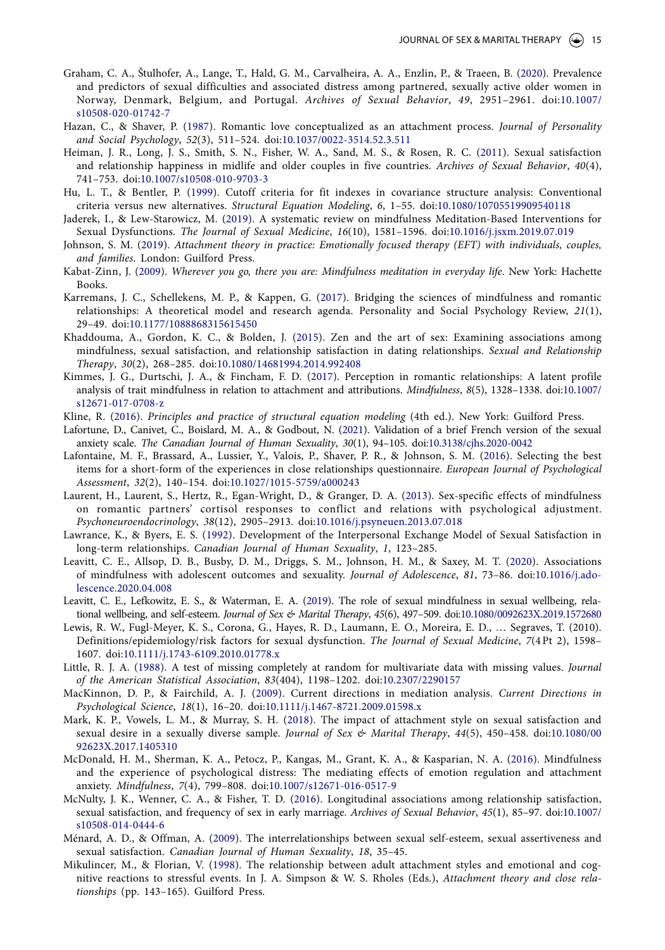- <span id="page-15-1"></span>Graham, C. A., Štulhofer, A., Lange, T., Hald, G. M., Carvalheira, A. A., Enzlin, P., & Traeen, B. ([2020](#page-1-8)). Prevalence and predictors of sexual difficulties and associated distress among partnered, sexually active older women in Norway, Denmark, Belgium, and Portugal. *Archives of Sexual Behavior*, *49*, 2951–2961. doi:[10.1007/](https://doi.org/10.1007/s10508-020-01742-7) [s10508-020-01742-7](https://doi.org/10.1007/s10508-020-01742-7)
- <span id="page-15-31"></span><span id="page-15-10"></span>Hazan, C., & Shaver, P. ([1987\)](#page-2-7). Romantic love conceptualized as an attachment process. *Journal of Personality and Social Psychology*, *52*(3), 511–524. doi:[10.1037/0022-3514.52.3.511](https://doi.org/10.1037/0022-3514.52.3.511)
- <span id="page-15-19"></span><span id="page-15-2"></span>Heiman, J. R., Long, J. S., Smith, S. N., Fisher, W. A., Sand, M. S., & Rosen, R. C. [\(2011\)](#page-1-9). Sexual satisfaction and relationship happiness in midlife and older couples in five countries. *Archives of Sexual Behavior*, *40*(4), 741–753. doi:[10.1007/s10508-010-9703-3](https://doi.org/10.1007/s10508-010-9703-3)
- <span id="page-15-24"></span>Hu, L. T., & Bentler, P. ([1999](#page-7-2)). Cutoff criteria for fit indexes in covariance structure analysis: Conventional criteria versus new alternatives. *Structural Equation Modeling*, *6*, 1–55. doi:[10.1080/10705519909540118](https://doi.org/10.1080/10705519909540118)
- <span id="page-15-4"></span>Jaderek, I., & Lew-Starowicz, M. [\(2019](#page-1-10)). A systematic review on mindfulness Meditation-Based Interventions for Sexual Dysfunctions. *The Journal of Sexual Medicine*, *16*(10), 1581–1596. doi:[10.1016/j.jsxm.2019.07.019](https://doi.org/10.1016/j.jsxm.2019.07.019)
- <span id="page-15-32"></span>Johnson, S. M. [\(2019\)](#page-11-4). *Attachment theory in practice: Emotionally focused therapy (EFT) with individuals, couples, and families*. London: Guilford Press.
- <span id="page-15-13"></span>Kabat-Zinn, J. [\(2009\)](#page-3-6). *Wherever you go, there you are: Mindfulness meditation in everyday life*. New York: Hachette Books.
- <span id="page-15-15"></span>Karremans, J. C., Schellekens, M. P., & Kappen, G. ([2017\)](#page-3-7). Bridging the sciences of mindfulness and romantic relationships: A theoretical model and research agenda. Personality and Social Psychology Review, *21*(1), 29–49. doi[:10.1177/1088868315615450](https://doi.org/10.1177/1088868315615450)
- <span id="page-15-16"></span><span id="page-15-5"></span>Khaddouma, A., Gordon, K. C., & Bolden, J. ([2015\)](#page-2-8). Zen and the art of sex: Examining associations among mindfulness, sexual satisfaction, and relationship satisfaction in dating relationships. *Sexual and Relationship Therapy*, *30*(2), 268–285. doi:[10.1080/14681994.2014.992408](https://doi.org/10.1080/14681994.2014.992408)
- <span id="page-15-27"></span>Kimmes, J. G., Durtschi, J. A., & Fincham, F. D. ([2017](#page-10-1)). Perception in romantic relationships: A latent profile analysis of trait mindfulness in relation to attachment and attributions. *Mindfulness*, *8*(5), 1328–1338. doi:[10.1007/](https://doi.org/10.1007/s12671-017-0708-z) [s12671-017-0708-z](https://doi.org/10.1007/s12671-017-0708-z)
- <span id="page-15-25"></span>Kline, R. ([2016](#page-7-3)). *Principles and practice of structural equation modeling* (4th ed.). New York: Guilford Press.
- <span id="page-15-20"></span><span id="page-15-17"></span><span id="page-15-9"></span>Lafortune, D., Canivet, C., Boislard, M. A., & Godbout, N. ([2021\)](#page-2-9). Validation of a brief French version of the sexual anxiety scale. *The Canadian Journal of Human Sexuality*, *30*(1), 94–105. doi:[10.3138/cjhs.2020-0042](https://doi.org/10.3138/cjhs.2020-0042)
- <span id="page-15-21"></span>Lafontaine, M. F., Brassard, A., Lussier, Y., Valois, P., Shaver, P. R., & Johnson, S. M. ([2016](#page-5-2)). Selecting the best items for a short-form of the experiences in close relationships questionnaire. *European Journal of Psychological Assessment*, *32*(2), 140–154. doi[:10.1027/1015-5759/a000243](https://doi.org/10.1027/1015-5759/a000243)
- <span id="page-15-6"></span>Laurent, H., Laurent, S., Hertz, R., Egan-Wright, D., & Granger, D. A. ([2013](#page-2-10)). Sex-specific effects of mindfulness on romantic partners' cortisol responses to conflict and relations with psychological adjustment. *Psychoneuroendocrinology*, *38*(12), 2905–2913. doi[:10.1016/j.psyneuen.2013.07.018](https://doi.org/10.1016/j.psyneuen.2013.07.018)
- <span id="page-15-22"></span>Lawrance, K., & Byers, E. S. [\(1992](#page-7-4)). Development of the Interpersonal Exchange Model of Sexual Satisfaction in long-term relationships. *Canadian Journal of Human Sexuality*, *1*, 123–285.
- <span id="page-15-30"></span><span id="page-15-8"></span>Leavitt, C. E., Allsop, D. B., Busby, D. M., Driggs, S. M., Johnson, H. M., & Saxey, M. T. ([2020](#page-2-11)). Associations of mindfulness with adolescent outcomes and sexuality. *Journal of Adolescence*, *81*, 73–86. doi:[10.1016/j.ado](https://doi.org/10.1016/j.adolescence.2020.04.008)[lescence.2020.04.008](https://doi.org/10.1016/j.adolescence.2020.04.008)
- <span id="page-15-29"></span><span id="page-15-7"></span>Leavitt, C. E., Lefkowitz, E. S., & Waterman, E. A. [\(2019](#page-2-12)). The role of sexual mindfulness in sexual wellbeing, relational wellbeing, and self-esteem. *Journal of Sex & Marital Therapy*, *45*(6), 497–509. doi[:10.1080/0092623X.2019.1572680](https://doi.org/10.1080/0092623X.2019.1572680)
- Lewis, R. W., Fugl-Meyer, K. S., Corona, G., Hayes, R. D., Laumann, E. O., Moreira, E. D., … Segraves, T. (2010). Definitions/epidemiology/risk factors for sexual dysfunction. *The Journal of Sexual Medicine*, *7*(4 Pt 2), 1598– 1607. doi:[10.1111/j.1743-6109.2010.01778.x](https://doi.org/10.1111/j.1743-6109.2010.01778.x)
- <span id="page-15-23"></span>Little, R. J. A. ([1988\)](#page-7-5). A test of missing completely at random for multivariate data with missing values. *Journal of the American Statistical Association*, *83*(404), 1198–1202. doi:[10.2307/2290157](https://doi.org/10.2307/2290157)
- <span id="page-15-26"></span>MacKinnon, D. P., & Fairchild, A. J. ([2009\)](#page-8-1). Current directions in mediation analysis. *Current Directions in Psychological Science*, *18*(1), 16–20. doi[:10.1111/j.1467-8721.2009.01598.x](https://doi.org/10.1111/j.1467-8721.2009.01598.x)
- <span id="page-15-12"></span><span id="page-15-3"></span>Mark, K. P., Vowels, L. M., & Murray, S. H. ([2018\)](#page-1-11). The impact of attachment style on sexual satisfaction and sexual desire in a sexually diverse sample. *Journal of Sex & Marital Therapy*, *44*(5), 450–458. doi:[10.1080/00](https://doi.org/10.1080/0092623X.2017.1405310) [92623X.2017.1405310](https://doi.org/10.1080/0092623X.2017.1405310)
- <span id="page-15-28"></span>McDonald, H. M., Sherman, K. A., Petocz, P., Kangas, M., Grant, K. A., & Kasparian, N. A. [\(2016](#page-10-2)). Mindfulness and the experience of psychological distress: The mediating effects of emotion regulation and attachment anxiety. *Mindfulness*, *7*(4), 799–808. doi:[10.1007/s12671-016-0517-9](https://doi.org/10.1007/s12671-016-0517-9)
- <span id="page-15-0"></span>McNulty, J. K., Wenner, C. A., & Fisher, T. D. ([2016\)](#page-1-12). Longitudinal associations among relationship satisfaction, sexual satisfaction, and frequency of sex in early marriage. *Archives of Sexual Behavior*, *45*(1), 85–97. doi:[10.1007/](https://doi.org/10.1007/s10508-014-0444-6) [s10508-014-0444-6](https://doi.org/10.1007/s10508-014-0444-6)
- <span id="page-15-18"></span><span id="page-15-11"></span>Ménard, A. D., & Offman, A. ([2009](#page-4-10)). The interrelationships between sexual self-esteem, sexual assertiveness and sexual satisfaction. *Canadian Journal of Human Sexuality*, *18*, 35–45.
- <span id="page-15-14"></span>Mikulincer, M., & Florian, V. ([1998](#page-2-13)). The relationship between adult attachment styles and emotional and cognitive reactions to stressful events. In J. A. Simpson & W. S. Rholes (Eds.), *Attachment theory and close relationships* (pp. 143–165). Guilford Press.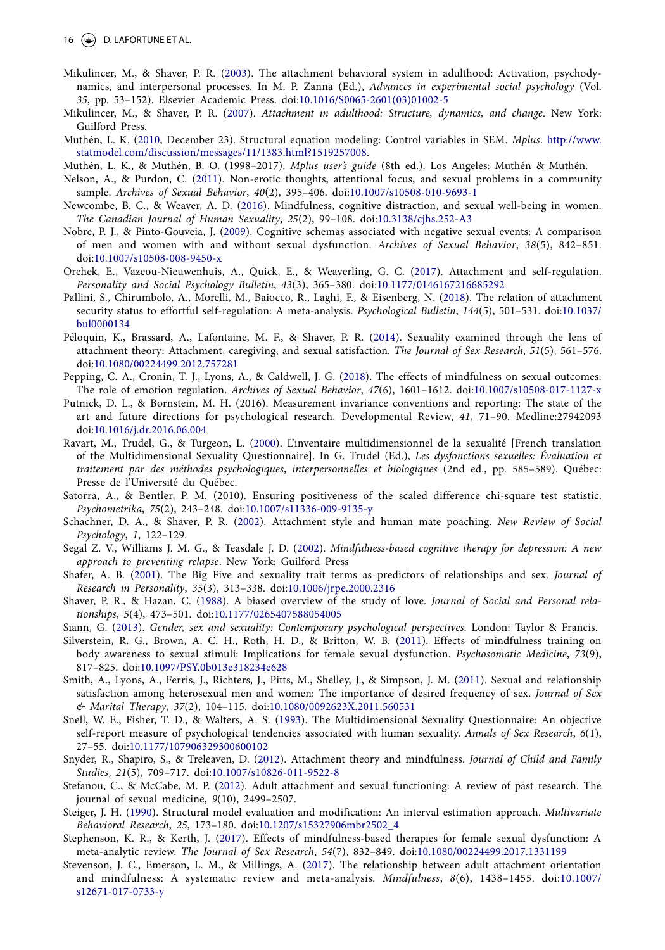- <span id="page-16-27"></span><span id="page-16-5"></span>Mikulincer, M., & Shaver, P. R. ([2003](#page-2-14)). The attachment behavioral system in adulthood: Activation, psychodynamics, and interpersonal processes. In M. P. Zanna (Ed.), *Advances in experimental social psychology* (Vol. *35*, pp. 53–152). Elsevier Academic Press. doi:[10.1016/S0065-2601\(03\)01002-5](https://doi.org/10.1016/S0065-2601(03)01002-5)
- <span id="page-16-19"></span><span id="page-16-4"></span>Mikulincer, M., & Shaver, P. R. [\(2007\)](#page-2-15). *Attachment in adulthood: Structure, dynamics, and change*. New York: Guilford Press.
- <span id="page-16-25"></span>Muthén, L. K. ([2010](#page-8-2), December 23). Structural equation modeling: Control variables in SEM. *Mplus*. [http://www.](http://www.statmodel.com/discussion/messages/11/1383.html?1519257008) [statmodel.com/discussion/messages/11/1383.html?1519257008.](http://www.statmodel.com/discussion/messages/11/1383.html?1519257008)
- Muthén, L. K., & Muthén, B. O. (1998–2017). *Mplus user's guide* (8th ed.). Los Angeles: Muthén & Muthén.
- <span id="page-16-18"></span><span id="page-16-16"></span>Nelson, A., & Purdon, C. ([2011](#page-4-11)). Non-erotic thoughts, attentional focus, and sexual problems in a community sample. *Archives of Sexual Behavior*, *40*(2), 395–406. doi[:10.1007/s10508-010-9693-1](https://doi.org/10.1007/s10508-010-9693-1)
- <span id="page-16-3"></span>Newcombe, B. C., & Weaver, A. D. ([2016](#page-2-16)). Mindfulness, cognitive distraction, and sexual well-being in women. *The Canadian Journal of Human Sexuality*, *25*(2), 99–108. doi[:10.3138/cjhs.252-A3](https://doi.org/10.3138/cjhs.252-A3)
- <span id="page-16-17"></span>Nobre, P. J., & Pinto-Gouveia, J. ([2009](#page-4-12)). Cognitive schemas associated with negative sexual events: A comparison of men and women with and without sexual dysfunction. *Archives of Sexual Behavior*, *38*(5), 842–851. doi[:10.1007/s10508-008-9450-x](https://doi.org/10.1007/s10508-008-9450-x)
- <span id="page-16-10"></span>Orehek, E., Vazeou-Nieuwenhuis, A., Quick, E., & Weaverling, G. C. [\(2017\)](#page-3-8). Attachment and self-regulation. *Personality and Social Psychology Bulletin*, *43*(3), 365–380. doi:[10.1177/0146167216685292](https://doi.org/10.1177/0146167216685292)
- <span id="page-16-11"></span>Pallini, S., Chirumbolo, A., Morelli, M., Baiocco, R., Laghi, F., & Eisenberg, N. ([2018\)](#page-3-9). The relation of attachment security status to effortful self-regulation: A meta-analysis. *Psychological Bulletin*, *144*(5), 501–531. doi[:10.1037/](https://doi.org/10.1037/bul0000134) [bul0000134](https://doi.org/10.1037/bul0000134)
- <span id="page-16-7"></span>Péloquin, K., Brassard, A., Lafontaine, M. F., & Shaver, P. R. ([2014\)](#page-2-17). Sexuality examined through the lens of attachment theory: Attachment, caregiving, and sexual satisfaction. *The Journal of Sex Research*, *51*(5), 561–576. doi[:10.1080/00224499.2012.757281](https://doi.org/10.1080/00224499.2012.757281)
- <span id="page-16-14"></span>Pepping, C. A., Cronin, T. J., Lyons, A., & Caldwell, J. G. [\(2018\)](#page-3-10). The effects of mindfulness on sexual outcomes: The role of emotion regulation. *Archives of Sexual Behavior*, *47*(6), 1601–1612. doi[:10.1007/s10508-017-1127-x](https://doi.org/10.1007/s10508-017-1127-x)
- Putnick, D. L., & Bornstein, M. H. (2016). Measurement invariance conventions and reporting: The state of the art and future directions for psychological research. Developmental Review, *41*, 71–90. Medline:27942093 doi[:10.1016/j.dr.2016.06.004](https://doi.org/10.1016/j.dr.2016.06.004)
- <span id="page-16-23"></span>Ravart, M., Trudel, G., & Turgeon, L. [\(2000](#page-7-6)). L'inventaire multidimensionnel de la sexualité [French translation of the Multidimensional Sexuality Questionnaire]. In G. Trudel (Ed.), *Les dysfonctions sexuelles: Évaluation et traitement par des méthodes psychologiques*, *interpersonnelles et biologiques* (2nd ed., pp. 585–589). Québec: Presse de l'Université du Québec.
- Satorra, A., & Bentler, P. M. (2010). Ensuring positiveness of the scaled difference chi-square test statistic. *Psychometrika*, *75*(2), 243–248. doi:[10.1007/s11336-009-9135-y](https://doi.org/10.1007/s11336-009-9135-y)
- <span id="page-16-26"></span>Schachner, D. A., & Shaver, P. R. [\(2002\)](#page-11-5). Attachment style and human mate poaching. *New Review of Social Psychology*, *1*, 122–129.
- <span id="page-16-28"></span>Segal Z. V., Williams J. M. G., & Teasdale J. D. [\(2002](#page-11-6)). *Mindfulness-based cognitive therapy for depression: A new approach to preventing relapse*. New York: Guilford Press
- <span id="page-16-20"></span>Shafer, A. B. ([2001\)](#page-4-13). The Big Five and sexuality trait terms as predictors of relationships and sex. *Journal of Research in Personality*, *35*(3), 313–338. doi[:10.1006/jrpe.2000.2316](https://doi.org/10.1006/jrpe.2000.2316)
- <span id="page-16-6"></span>Shaver, P. R., & Hazan, C. ([1988\)](#page-2-18). A biased overview of the study of love. *Journal of Social and Personal relationships*, *5*(4), 473–501. doi[:10.1177/0265407588054005](https://doi.org/10.1177/0265407588054005)
- <span id="page-16-21"></span>Siann, G. ([2013\)](#page-5-3). *Gender, sex and sexuality: Contemporary psychological perspectives*. London: Taylor & Francis.
- <span id="page-16-13"></span><span id="page-16-12"></span>Silverstein, R. G., Brown, A. C. H., Roth, H. D., & Britton, W. B. ([2011\)](#page-3-11). Effects of mindfulness training on body awareness to sexual stimuli: Implications for female sexual dysfunction. *Psychosomatic Medicine*, *73*(9), 817–825. doi:[10.1097/PSY.0b013e318234e628](https://doi.org/10.1097/PSY.0b013e318234e628)
- <span id="page-16-0"></span>Smith, A., Lyons, A., Ferris, J., Richters, J., Pitts, M., Shelley, J., & Simpson, J. M. ([2011](#page-1-13)). Sexual and relationship satisfaction among heterosexual men and women: The importance of desired frequency of sex. *Journal of Sex & Marital Therapy*, *37*(2), 104–115. doi[:10.1080/0092623X.2011.560531](https://doi.org/10.1080/0092623X.2011.560531)
- <span id="page-16-22"></span><span id="page-16-15"></span>Snell, W. E., Fisher, T. D., & Walters, A. S. ([1993](#page-4-14)). The Multidimensional Sexuality Questionnaire: An objective self-report measure of psychological tendencies associated with human sexuality. *Annals of Sex Research*, *6*(1), 27–55. doi:[10.1177/107906329300600102](https://doi.org/10.1177/107906329300600102)
- <span id="page-16-9"></span>Snyder, R., Shapiro, S., & Treleaven, D. ([2012](#page-3-12)). Attachment theory and mindfulness. *Journal of Child and Family Studies*, *21*(5), 709–717. doi:[10.1007/s10826-011-9522-8](https://doi.org/10.1007/s10826-011-9522-8)
- <span id="page-16-8"></span>Stefanou, C., & McCabe, M. P. ([2012](#page-2-19)). Adult attachment and sexual functioning: A review of past research. The journal of sexual medicine, *9*(10), 2499–2507.
- <span id="page-16-24"></span>Steiger, J. H. ([1990](#page-7-7)). Structural model evaluation and modification: An interval estimation approach. *Multivariate Behavioral Research*, *25*, 173–180. doi:[10.1207/s15327906mbr2502\\_4](https://doi.org/10.1207/s15327906mbr2502_4)
- <span id="page-16-2"></span>Stephenson, K. R., & Kerth, J. ([2017](#page-2-20)). Effects of mindfulness-based therapies for female sexual dysfunction: A meta-analytic review. *The Journal of Sex Research*, *54*(7), 832–849. doi[:10.1080/00224499.2017.1331199](https://doi.org/10.1080/00224499.2017.1331199)
- <span id="page-16-29"></span><span id="page-16-1"></span>Stevenson, J. C., Emerson, L. M., & Millings, A. [\(2017\)](#page-1-14). The relationship between adult attachment orientation and mindfulness: A systematic review and meta-analysis. *Mindfulness*, *8*(6), 1438–1455. doi:[10.1007/](https://doi.org/10.1007/s12671-017-0733-y) [s12671-017-0733-y](https://doi.org/10.1007/s12671-017-0733-y)